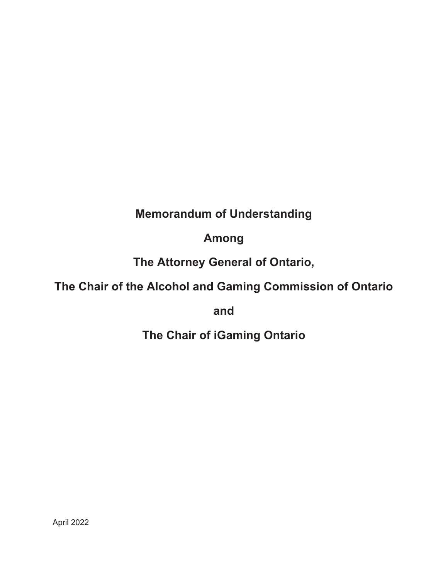# **Memorandum of Understanding**

# **Among**

# **The Attorney General of Ontario,**

# **The Chair of the Alcohol and Gaming Commission of Ontario**

**and** 

**The Chair of iGaming Ontario**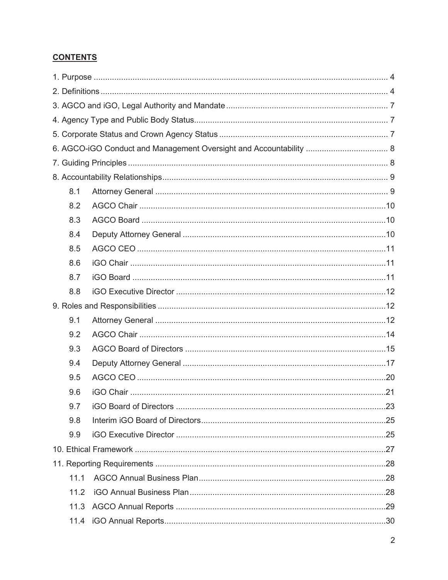### **CONTENTS**

| 8.1  |  |  |  |  |  |
|------|--|--|--|--|--|
| 8.2  |  |  |  |  |  |
| 8.3  |  |  |  |  |  |
| 8.4  |  |  |  |  |  |
| 8.5  |  |  |  |  |  |
| 8.6  |  |  |  |  |  |
| 8.7  |  |  |  |  |  |
| 8.8  |  |  |  |  |  |
|      |  |  |  |  |  |
| 9.1  |  |  |  |  |  |
| 9.2  |  |  |  |  |  |
| 9.3  |  |  |  |  |  |
| 9.4  |  |  |  |  |  |
| 9.5  |  |  |  |  |  |
| 9.6  |  |  |  |  |  |
| 9.7  |  |  |  |  |  |
| 9.8  |  |  |  |  |  |
| 9.9  |  |  |  |  |  |
|      |  |  |  |  |  |
|      |  |  |  |  |  |
| 11.1 |  |  |  |  |  |
| 11.2 |  |  |  |  |  |
| 11.3 |  |  |  |  |  |
|      |  |  |  |  |  |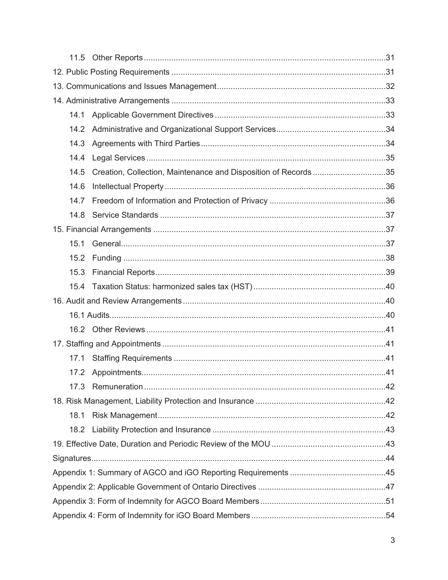| 14.1 |                                                                |  |  |  |  |
|------|----------------------------------------------------------------|--|--|--|--|
| 14.2 |                                                                |  |  |  |  |
| 14.3 |                                                                |  |  |  |  |
| 14.4 |                                                                |  |  |  |  |
| 14.5 | Creation, Collection, Maintenance and Disposition of Records35 |  |  |  |  |
| 14.6 |                                                                |  |  |  |  |
| 14.7 |                                                                |  |  |  |  |
| 14.8 |                                                                |  |  |  |  |
|      |                                                                |  |  |  |  |
| 15.1 |                                                                |  |  |  |  |
| 15.2 |                                                                |  |  |  |  |
| 15.3 |                                                                |  |  |  |  |
|      |                                                                |  |  |  |  |
|      |                                                                |  |  |  |  |
|      |                                                                |  |  |  |  |
|      |                                                                |  |  |  |  |
|      |                                                                |  |  |  |  |
| 17.1 |                                                                |  |  |  |  |
|      |                                                                |  |  |  |  |
|      |                                                                |  |  |  |  |
|      |                                                                |  |  |  |  |
| 18.1 |                                                                |  |  |  |  |
|      |                                                                |  |  |  |  |
|      |                                                                |  |  |  |  |
|      |                                                                |  |  |  |  |
|      |                                                                |  |  |  |  |
|      |                                                                |  |  |  |  |
|      |                                                                |  |  |  |  |
|      |                                                                |  |  |  |  |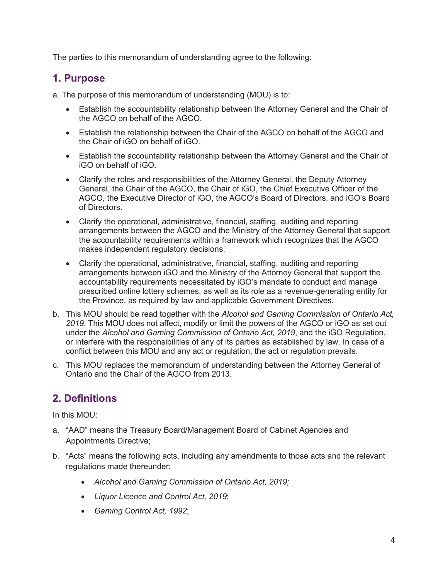The parties to this memorandum of understanding agree to the following:

## **1. Purpose**

a. The purpose of this memorandum of understanding (MOU) is to:

- Establish the accountability relationship between the Attorney General and the Chair of the AGCO on behalf of the AGCO.
- Establish the relationship between the Chair of the AGCO on behalf of the AGCO and the Chair of iGO on behalf of iGO.
- Establish the accountability relationship between the Attorney General and the Chair of iGO on behalf of iGO.
- Clarify the roles and responsibilities of the Attorney General, the Deputy Attorney General, the Chair of the AGCO, the Chair of iGO, the Chief Executive Officer of the AGCO, the Executive Director of iGO, the AGCO's Board of Directors, and iGO's Board of Directors.
- Clarify the operational, administrative, financial, staffing, auditing and reporting arrangements between the AGCO and the Ministry of the Attorney General that support the accountability requirements within a framework which recognizes that the AGCO makes independent regulatory decisions.
- Clarify the operational, administrative, financial, staffing, auditing and reporting arrangements between iGO and the Ministry of the Attorney General that support the accountability requirements necessitated by iGO's mandate to conduct and manage prescribed online lottery schemes, as well as its role as a revenue-generating entity for the Province, as required by law and applicable Government Directives.
- b. This MOU should be read together with the *Alcohol and Gaming Commission of Ontario Act, 2019*. This MOU does not affect, modify or limit the powers of the AGCO or iGO as set out under the *Alcohol and Gaming Commission of Ontario Act, 2019*, and the iGO Regulation, or interfere with the responsibilities of any of its parties as established by law. In case of a conflict between this MOU and any act or regulation, the act or regulation prevails.
- c. This MOU replaces the memorandum of understanding between the Attorney General of Ontario and the Chair of the AGCO from 2013.

# **2. Definitions**

In this MOU:

- a. "AAD" means the Treasury Board/Management Board of Cabinet Agencies and Appointments Directive;
- b. "Acts" means the following acts, including any amendments to those acts and the relevant regulations made thereunder:
	- x *Alcohol and Gaming Commission of Ontario Act, 2019;*
	- x *Liquor Licence and Control Act, 2019*;
	- x *Gaming Control Act, 1992*;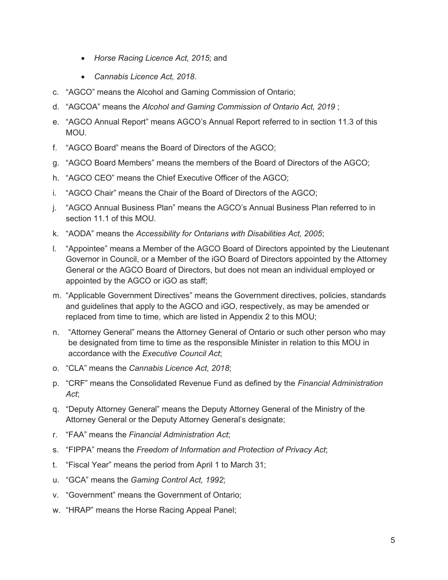- *Horse Racing Licence Act, 2015*; and
- x *Cannabis Licence Act, 2018*.
- c. "AGCO" means the Alcohol and Gaming Commission of Ontario;
- d. "AGCOA" means the *Alcohol and Gaming Commission of Ontario Act, 2019* ;
- e. "AGCO Annual Report" means AGCO's Annual Report referred to in section 11.3 of this MOU.
- f. "AGCO Board" means the Board of Directors of the AGCO;
- g. "AGCO Board Members" means the members of the Board of Directors of the AGCO;
- h. "AGCO CEO" means the Chief Executive Officer of the AGCO;
- i. "AGCO Chair" means the Chair of the Board of Directors of the AGCO;
- j. "AGCO Annual Business Plan" means the AGCO's Annual Business Plan referred to in section 11.1 of this MOU.
- k. "AODA" means the *Accessibility for Ontarians with Disabilities Act, 2005*;
- l. "Appointee" means a Member of the AGCO Board of Directors appointed by the Lieutenant Governor in Council, or a Member of the iGO Board of Directors appointed by the Attorney General or the AGCO Board of Directors, but does not mean an individual employed or appointed by the AGCO or iGO as staff;
- m. "Applicable Government Directives" means the Government directives, policies, standards and guidelines that apply to the AGCO and iGO, respectively, as may be amended or replaced from time to time, which are listed in Appendix 2 to this MOU;
- n. "Attorney General" means the Attorney General of Ontario or such other person who may be designated from time to time as the responsible Minister in relation to this MOU in accordance with the *Executive Council Act*;
- o. "CLA" means the *Cannabis Licence Act, 2018*;
- p. "CRF" means the Consolidated Revenue Fund as defined by the *Financial Administration Act*;
- q. "Deputy Attorney General" means the Deputy Attorney General of the Ministry of the Attorney General or the Deputy Attorney General's designate;
- r. "FAA" means the *Financial Administration Act*;
- s. "FIPPA" means the *Freedom of Information and Protection of Privacy Act*;
- t. "Fiscal Year" means the period from April 1 to March 31;
- u. "GCA" means the *Gaming Control Act, 1992*;
- v. "Government" means the Government of Ontario;
- w. "HRAP" means the Horse Racing Appeal Panel;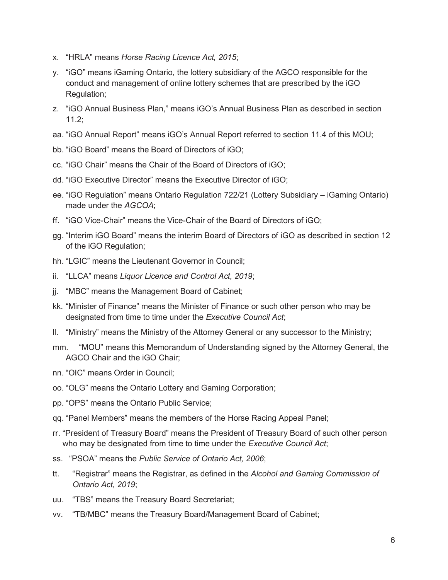- x. "HRLA" means *Horse Racing Licence Act, 2015*;
- y. "iGO" means iGaming Ontario, the lottery subsidiary of the AGCO responsible for the conduct and management of online lottery schemes that are prescribed by the iGO Regulation;
- z. "iGO Annual Business Plan," means iGO's Annual Business Plan as described in section 11.2;
- aa. "iGO Annual Report" means iGO's Annual Report referred to section 11.4 of this MOU;
- bb. "iGO Board" means the Board of Directors of iGO;
- cc. "iGO Chair" means the Chair of the Board of Directors of iGO;
- dd. "iGO Executive Director" means the Executive Director of iGO;
- ee. "iGO Regulation" means Ontario Regulation 722/21 (Lottery Subsidiary iGaming Ontario) made under the *AGCOA*;
- ff. "iGO Vice-Chair" means the Vice-Chair of the Board of Directors of iGO;
- gg. "Interim iGO Board" means the interim Board of Directors of iGO as described in section 12 of the iGO Regulation;
- hh. "LGIC" means the Lieutenant Governor in Council;
- ii. "LLCA" means *Liquor Licence and Control Act, 2019*;
- jj. "MBC" means the Management Board of Cabinet;
- kk. "Minister of Finance" means the Minister of Finance or such other person who may be designated from time to time under the *Executive Council Act*;
- ll. "Ministry" means the Ministry of the Attorney General or any successor to the Ministry;
- mm. "MOU" means this Memorandum of Understanding signed by the Attorney General, the AGCO Chair and the iGO Chair;
- nn. "OIC" means Order in Council;
- oo. "OLG" means the Ontario Lottery and Gaming Corporation;
- pp. "OPS" means the Ontario Public Service;
- qq. "Panel Members" means the members of the Horse Racing Appeal Panel;
- rr. "President of Treasury Board" means the President of Treasury Board of such other person who may be designated from time to time under the *Executive Council Act*;
- ss. "PSOA" means the *Public Service of Ontario Act, 2006*;
- tt. "Registrar" means the Registrar, as defined in the *Alcohol and Gaming Commission of Ontario Act, 2019*;
- uu. "TBS" means the Treasury Board Secretariat;
- vv. "TB/MBC" means the Treasury Board/Management Board of Cabinet;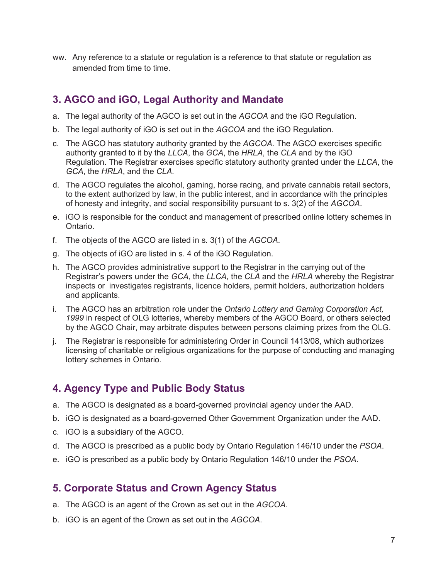ww. Any reference to a statute or regulation is a reference to that statute or regulation as amended from time to time.

# **3. AGCO and iGO, Legal Authority and Mandate**

- a. The legal authority of the AGCO is set out in the *AGCOA* and the iGO Regulation.
- b. The legal authority of iGO is set out in the *AGCOA* and the iGO Regulation.
- c. The AGCO has statutory authority granted by the *AGCOA*. The AGCO exercises specific authority granted to it by the *LLCA*, the *GCA*, the *HRLA*, the *CLA* and by the iGO Regulation. The Registrar exercises specific statutory authority granted under the *LLCA*, the *GCA*, the *HRLA*, and the *CLA*.
- d. The AGCO regulates the alcohol, gaming, horse racing, and private cannabis retail sectors, to the extent authorized by law, in the public interest, and in accordance with the principles of honesty and integrity, and social responsibility pursuant to s. 3(2) of the *AGCOA*.
- e. iGO is responsible for the conduct and management of prescribed online lottery schemes in Ontario.
- f. The objects of the AGCO are listed in s. 3(1) of the *AGCOA*.
- g. The objects of iGO are listed in s. 4 of the iGO Regulation.
- h. The AGCO provides administrative support to the Registrar in the carrying out of the Registrar's powers under the *GCA*, the *LLCA*, the *CLA* and the *HRLA* whereby the Registrar inspects or investigates registrants, licence holders, permit holders, authorization holders and applicants.
- i. The AGCO has an arbitration role under the *Ontario Lottery and Gaming Corporation Act, 1999* in respect of OLG lotteries, whereby members of the AGCO Board, or others selected by the AGCO Chair, may arbitrate disputes between persons claiming prizes from the OLG.
- j. The Registrar is responsible for administering Order in Council 1413/08, which authorizes licensing of charitable or religious organizations for the purpose of conducting and managing lottery schemes in Ontario.

# **4. Agency Type and Public Body Status**

- a. The AGCO is designated as a board-governed provincial agency under the AAD.
- b. iGO is designated as a board-governed Other Government Organization under the AAD.
- c. iGO is a subsidiary of the AGCO.
- d. The AGCO is prescribed as a public body by Ontario Regulation 146/10 under the *PSOA*.
- e. iGO is prescribed as a public body by Ontario Regulation 146/10 under the *PSOA*.

## **5. Corporate Status and Crown Agency Status**

- a. The AGCO is an agent of the Crown as set out in the *AGCOA*.
- b. iGO is an agent of the Crown as set out in the *AGCOA*.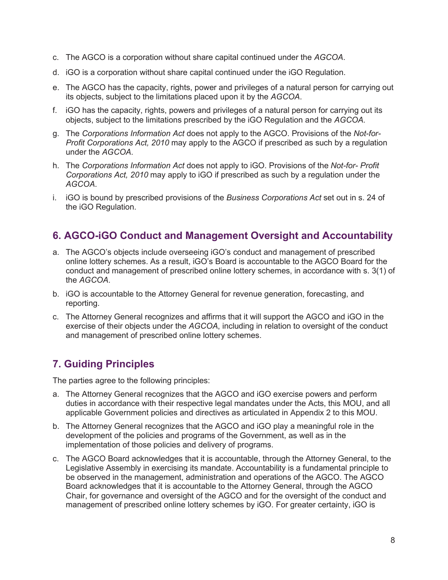- c. The AGCO is a corporation without share capital continued under the *AGCOA*.
- d. iGO is a corporation without share capital continued under the iGO Regulation.
- e. The AGCO has the capacity, rights, power and privileges of a natural person for carrying out its objects, subject to the limitations placed upon it by the *AGCOA*.
- f. iGO has the capacity, rights, powers and privileges of a natural person for carrying out its objects, subject to the limitations prescribed by the iGO Regulation and the *AGCOA.*
- g. The *Corporations Information Act* does not apply to the AGCO. Provisions of the *Not-for-Profit Corporations Act, 2010* may apply to the AGCO if prescribed as such by a regulation under the *AGCOA*.
- h. The *Corporations Information Act* does not apply to iGO. Provisions of the *Not-for- Profit Corporations Act, 2010* may apply to iGO if prescribed as such by a regulation under the *AGCOA*.
- i. iGO is bound by prescribed provisions of the *Business Corporations Act* set out in s. 24 of the iGO Regulation.

# **6. AGCO-iGO Conduct and Management Oversight and Accountability**

- a. The AGCO's objects include overseeing iGO's conduct and management of prescribed online lottery schemes. As a result, iGO's Board is accountable to the AGCO Board for the conduct and management of prescribed online lottery schemes, in accordance with s. 3(1) of the *AGCOA*.
- b. iGO is accountable to the Attorney General for revenue generation, forecasting, and reporting.
- c. The Attorney General recognizes and affirms that it will support the AGCO and iGO in the exercise of their objects under the *AGCOA*, including in relation to oversight of the conduct and management of prescribed online lottery schemes.

# **7. Guiding Principles**

The parties agree to the following principles:

- a. The Attorney General recognizes that the AGCO and iGO exercise powers and perform duties in accordance with their respective legal mandates under the Acts, this MOU, and all applicable Government policies and directives as articulated in Appendix 2 to this MOU.
- b. The Attorney General recognizes that the AGCO and iGO play a meaningful role in the development of the policies and programs of the Government, as well as in the implementation of those policies and delivery of programs.
- c. The AGCO Board acknowledges that it is accountable, through the Attorney General, to the Legislative Assembly in exercising its mandate. Accountability is a fundamental principle to be observed in the management, administration and operations of the AGCO. The AGCO Board acknowledges that it is accountable to the Attorney General, through the AGCO Chair, for governance and oversight of the AGCO and for the oversight of the conduct and management of prescribed online lottery schemes by iGO. For greater certainty, iGO is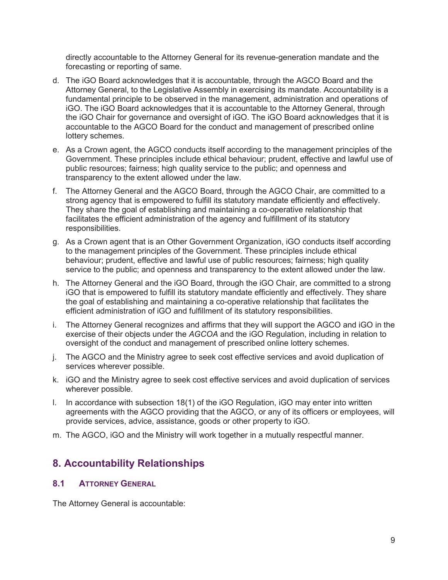directly accountable to the Attorney General for its revenue-generation mandate and the forecasting or reporting of same.

- d. The iGO Board acknowledges that it is accountable, through the AGCO Board and the Attorney General, to the Legislative Assembly in exercising its mandate. Accountability is a fundamental principle to be observed in the management, administration and operations of iGO. The iGO Board acknowledges that it is accountable to the Attorney General, through the iGO Chair for governance and oversight of iGO. The iGO Board acknowledges that it is accountable to the AGCO Board for the conduct and management of prescribed online lottery schemes.
- e. As a Crown agent, the AGCO conducts itself according to the management principles of the Government. These principles include ethical behaviour; prudent, effective and lawful use of public resources; fairness; high quality service to the public; and openness and transparency to the extent allowed under the law.
- f. The Attorney General and the AGCO Board, through the AGCO Chair, are committed to a strong agency that is empowered to fulfill its statutory mandate efficiently and effectively. They share the goal of establishing and maintaining a co-operative relationship that facilitates the efficient administration of the agency and fulfillment of its statutory responsibilities.
- g. As a Crown agent that is an Other Government Organization, iGO conducts itself according to the management principles of the Government. These principles include ethical behaviour; prudent, effective and lawful use of public resources; fairness; high quality service to the public; and openness and transparency to the extent allowed under the law.
- h. The Attorney General and the iGO Board, through the iGO Chair, are committed to a strong iGO that is empowered to fulfill its statutory mandate efficiently and effectively. They share the goal of establishing and maintaining a co-operative relationship that facilitates the efficient administration of iGO and fulfillment of its statutory responsibilities.
- i. The Attorney General recognizes and affirms that they will support the AGCO and iGO in the exercise of their objects under the *AGCOA* and the iGO Regulation, including in relation to oversight of the conduct and management of prescribed online lottery schemes.
- j. The AGCO and the Ministry agree to seek cost effective services and avoid duplication of services wherever possible.
- k. iGO and the Ministry agree to seek cost effective services and avoid duplication of services wherever possible.
- l. In accordance with subsection 18(1) of the iGO Regulation, iGO may enter into written agreements with the AGCO providing that the AGCO, or any of its officers or employees, will provide services, advice, assistance, goods or other property to iGO.
- m. The AGCO, iGO and the Ministry will work together in a mutually respectful manner.

# **8. Accountability Relationships**

#### **8.1 ATTORNEY GENERAL**

The Attorney General is accountable: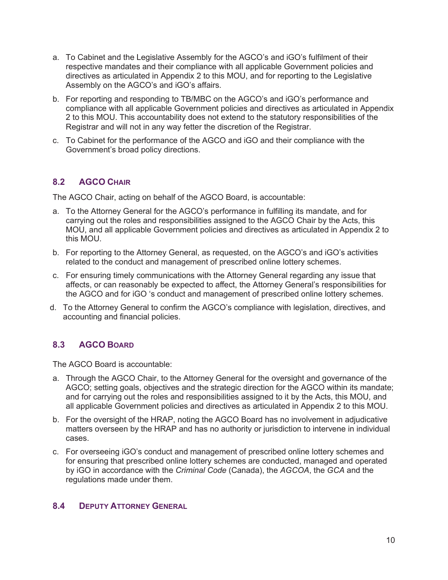- a. To Cabinet and the Legislative Assembly for the AGCO's and iGO's fulfilment of their respective mandates and their compliance with all applicable Government policies and directives as articulated in Appendix 2 to this MOU, and for reporting to the Legislative Assembly on the AGCO's and iGO's affairs.
- b. For reporting and responding to TB/MBC on the AGCO's and iGO's performance and compliance with all applicable Government policies and directives as articulated in Appendix 2 to this MOU. This accountability does not extend to the statutory responsibilities of the Registrar and will not in any way fetter the discretion of the Registrar.
- c. To Cabinet for the performance of the AGCO and iGO and their compliance with the Government's broad policy directions.

### **8.2 AGCO CHAIR**

The AGCO Chair, acting on behalf of the AGCO Board, is accountable:

- a. To the Attorney General for the AGCO's performance in fulfilling its mandate, and for carrying out the roles and responsibilities assigned to the AGCO Chair by the Acts, this MOU, and all applicable Government policies and directives as articulated in Appendix 2 to this MOU.
- b. For reporting to the Attorney General, as requested, on the AGCO's and iGO's activities related to the conduct and management of prescribed online lottery schemes.
- c. For ensuring timely communications with the Attorney General regarding any issue that affects, or can reasonably be expected to affect, the Attorney General's responsibilities for the AGCO and for iGO 's conduct and management of prescribed online lottery schemes.
- d. To the Attorney General to confirm the AGCO's compliance with legislation, directives, and accounting and financial policies.

### **8.3 AGCO BOARD**

The AGCO Board is accountable:

- a. Through the AGCO Chair, to the Attorney General for the oversight and governance of the AGCO; setting goals, objectives and the strategic direction for the AGCO within its mandate; and for carrying out the roles and responsibilities assigned to it by the Acts, this MOU, and all applicable Government policies and directives as articulated in Appendix 2 to this MOU.
- b. For the oversight of the HRAP, noting the AGCO Board has no involvement in adjudicative matters overseen by the HRAP and has no authority or jurisdiction to intervene in individual cases.
- c. For overseeing iGO's conduct and management of prescribed online lottery schemes and for ensuring that prescribed online lottery schemes are conducted, managed and operated by iGO in accordance with the *Criminal Code* (Canada), the *AGCOA*, the *GCA* and the regulations made under them.

#### **8.4 DEPUTY ATTORNEY GENERAL**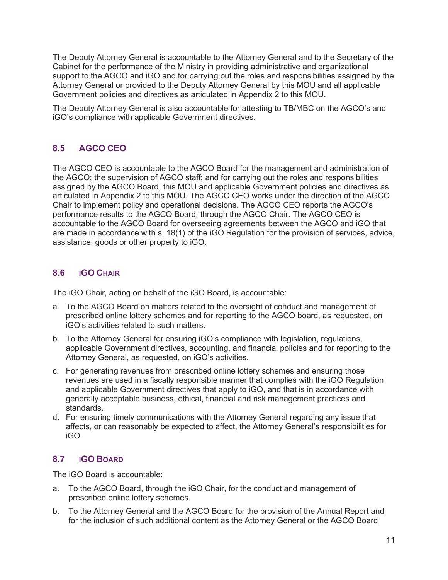The Deputy Attorney General is accountable to the Attorney General and to the Secretary of the Cabinet for the performance of the Ministry in providing administrative and organizational support to the AGCO and iGO and for carrying out the roles and responsibilities assigned by the Attorney General or provided to the Deputy Attorney General by this MOU and all applicable Government policies and directives as articulated in Appendix 2 to this MOU.

The Deputy Attorney General is also accountable for attesting to TB/MBC on the AGCO's and iGO's compliance with applicable Government directives.

## **8.5 AGCO CEO**

The AGCO CEO is accountable to the AGCO Board for the management and administration of the AGCO; the supervision of AGCO staff; and for carrying out the roles and responsibilities assigned by the AGCO Board, this MOU and applicable Government policies and directives as articulated in Appendix 2 to this MOU. The AGCO CEO works under the direction of the AGCO Chair to implement policy and operational decisions. The AGCO CEO reports the AGCO's performance results to the AGCO Board, through the AGCO Chair. The AGCO CEO is accountable to the AGCO Board for overseeing agreements between the AGCO and iGO that are made in accordance with s. 18(1) of the iGO Regulation for the provision of services, advice, assistance, goods or other property to iGO.

### **8.6 IGO CHAIR**

The iGO Chair, acting on behalf of the iGO Board, is accountable:

- a. To the AGCO Board on matters related to the oversight of conduct and management of prescribed online lottery schemes and for reporting to the AGCO board, as requested, on iGO's activities related to such matters.
- b. To the Attorney General for ensuring iGO's compliance with legislation, regulations, applicable Government directives, accounting, and financial policies and for reporting to the Attorney General, as requested, on iGO's activities.
- c. For generating revenues from prescribed online lottery schemes and ensuring those revenues are used in a fiscally responsible manner that complies with the iGO Regulation and applicable Government directives that apply to iGO, and that is in accordance with generally acceptable business, ethical, financial and risk management practices and standards.
- d. For ensuring timely communications with the Attorney General regarding any issue that affects, or can reasonably be expected to affect, the Attorney General's responsibilities for iGO.

### **8.7 IGO BOARD**

The iGO Board is accountable:

- a. To the AGCO Board, through the iGO Chair, for the conduct and management of prescribed online lottery schemes.
- b. To the Attorney General and the AGCO Board for the provision of the Annual Report and for the inclusion of such additional content as the Attorney General or the AGCO Board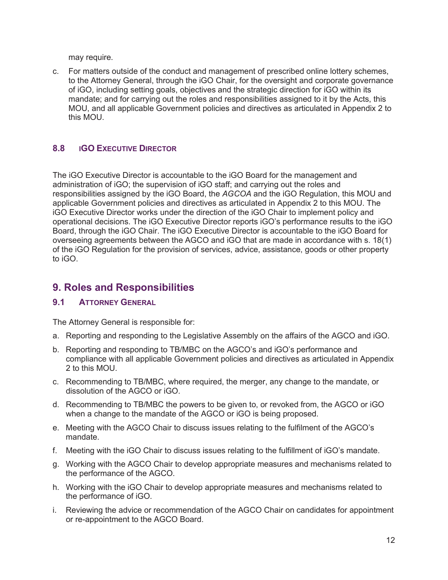may require.

c. For matters outside of the conduct and management of prescribed online lottery schemes, to the Attorney General, through the iGO Chair, for the oversight and corporate governance of iGO, including setting goals, objectives and the strategic direction for iGO within its mandate; and for carrying out the roles and responsibilities assigned to it by the Acts, this MOU, and all applicable Government policies and directives as articulated in Appendix 2 to this MOU.

### **8.8 IGO EXECUTIVE DIRECTOR**

The iGO Executive Director is accountable to the iGO Board for the management and administration of iGO; the supervision of iGO staff; and carrying out the roles and responsibilities assigned by the iGO Board, the *AGCOA* and the iGO Regulation, this MOU and applicable Government policies and directives as articulated in Appendix 2 to this MOU. The iGO Executive Director works under the direction of the iGO Chair to implement policy and operational decisions. The iGO Executive Director reports iGO's performance results to the iGO Board, through the iGO Chair. The iGO Executive Director is accountable to the iGO Board for overseeing agreements between the AGCO and iGO that are made in accordance with s. 18(1) of the iGO Regulation for the provision of services, advice, assistance, goods or other property to iGO.

## **9. Roles and Responsibilities**

#### **9.1 ATTORNEY GENERAL**

The Attorney General is responsible for:

- a. Reporting and responding to the Legislative Assembly on the affairs of the AGCO and iGO.
- b. Reporting and responding to TB/MBC on the AGCO's and iGO's performance and compliance with all applicable Government policies and directives as articulated in Appendix 2 to this MOU.
- c. Recommending to TB/MBC, where required, the merger, any change to the mandate, or dissolution of the AGCO or iGO.
- d. Recommending to TB/MBC the powers to be given to, or revoked from, the AGCO or iGO when a change to the mandate of the AGCO or iGO is being proposed.
- e. Meeting with the AGCO Chair to discuss issues relating to the fulfilment of the AGCO's mandate.
- f. Meeting with the iGO Chair to discuss issues relating to the fulfillment of iGO's mandate.
- g. Working with the AGCO Chair to develop appropriate measures and mechanisms related to the performance of the AGCO.
- h. Working with the iGO Chair to develop appropriate measures and mechanisms related to the performance of iGO.
- i. Reviewing the advice or recommendation of the AGCO Chair on candidates for appointment or re-appointment to the AGCO Board.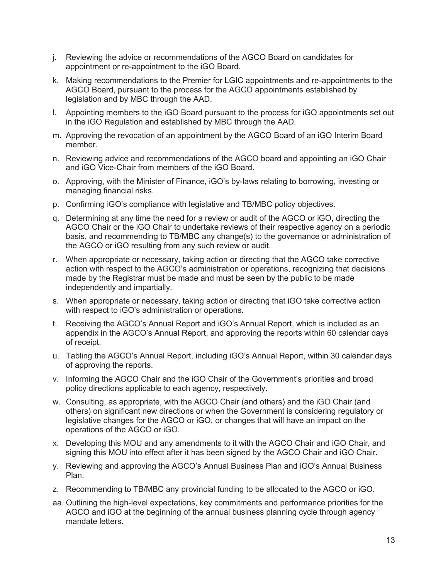- j. Reviewing the advice or recommendations of the AGCO Board on candidates for appointment or re-appointment to the iGO Board.
- k. Making recommendations to the Premier for LGIC appointments and re-appointments to the AGCO Board, pursuant to the process for the AGCO appointments established by legislation and by MBC through the AAD.
- l. Appointing members to the iGO Board pursuant to the process for iGO appointments set out in the iGO Regulation and established by MBC through the AAD*.*
- m. Approving the revocation of an appointment by the AGCO Board of an iGO Interim Board member.
- n. Reviewing advice and recommendations of the AGCO board and appointing an iGO Chair and iGO Vice-Chair from members of the iGO Board.
- o. Approving, with the Minister of Finance, iGO's by-laws relating to borrowing, investing or managing financial risks.
- p. Confirming iGO's compliance with legislative and TB/MBC policy objectives.
- q. Determining at any time the need for a review or audit of the AGCO or iGO, directing the AGCO Chair or the iGO Chair to undertake reviews of their respective agency on a periodic basis, and recommending to TB/MBC any change(s) to the governance or administration of the AGCO or iGO resulting from any such review or audit.
- r. When appropriate or necessary, taking action or directing that the AGCO take corrective action with respect to the AGCO's administration or operations, recognizing that decisions made by the Registrar must be made and must be seen by the public to be made independently and impartially.
- s. When appropriate or necessary, taking action or directing that iGO take corrective action with respect to iGO's administration or operations.
- t. Receiving the AGCO's Annual Report and iGO's Annual Report, which is included as an appendix in the AGCO's Annual Report, and approving the reports within 60 calendar days of receipt.
- u. Tabling the AGCO's Annual Report, including iGO's Annual Report, within 30 calendar days of approving the reports.
- v. Informing the AGCO Chair and the iGO Chair of the Government's priorities and broad policy directions applicable to each agency, respectively.
- w. Consulting, as appropriate, with the AGCO Chair (and others) and the iGO Chair (and others) on significant new directions or when the Government is considering regulatory or legislative changes for the AGCO or iGO, or changes that will have an impact on the operations of the AGCO or iGO.
- x. Developing this MOU and any amendments to it with the AGCO Chair and iGO Chair, and signing this MOU into effect after it has been signed by the AGCO Chair and iGO Chair.
- y. Reviewing and approving the AGCO's Annual Business Plan and iGO's Annual Business Plan.
- z. Recommending to TB/MBC any provincial funding to be allocated to the AGCO or iGO.
- aa. Outlining the high-level expectations, key commitments and performance priorities for the AGCO and iGO at the beginning of the annual business planning cycle through agency mandate letters.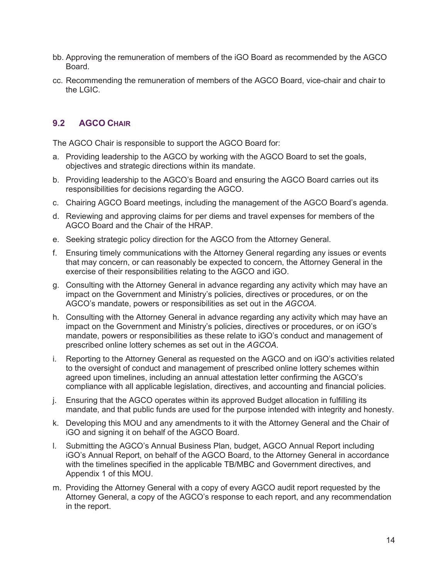- bb. Approving the remuneration of members of the iGO Board as recommended by the AGCO Board.
- cc. Recommending the remuneration of members of the AGCO Board, vice-chair and chair to the LGIC.

### **9.2 AGCO CHAIR**

The AGCO Chair is responsible to support the AGCO Board for:

- a. Providing leadership to the AGCO by working with the AGCO Board to set the goals, objectives and strategic directions within its mandate.
- b. Providing leadership to the AGCO's Board and ensuring the AGCO Board carries out its responsibilities for decisions regarding the AGCO.
- c. Chairing AGCO Board meetings, including the management of the AGCO Board's agenda.
- d. Reviewing and approving claims for per diems and travel expenses for members of the AGCO Board and the Chair of the HRAP.
- e. Seeking strategic policy direction for the AGCO from the Attorney General.
- f. Ensuring timely communications with the Attorney General regarding any issues or events that may concern, or can reasonably be expected to concern, the Attorney General in the exercise of their responsibilities relating to the AGCO and iGO.
- g. Consulting with the Attorney General in advance regarding any activity which may have an impact on the Government and Ministry's policies, directives or procedures, or on the AGCO's mandate, powers or responsibilities as set out in the *AGCOA*.
- h. Consulting with the Attorney General in advance regarding any activity which may have an impact on the Government and Ministry's policies, directives or procedures, or on iGO's mandate, powers or responsibilities as these relate to iGO's conduct and management of prescribed online lottery schemes as set out in the *AGCOA*.
- i. Reporting to the Attorney General as requested on the AGCO and on iGO's activities related to the oversight of conduct and management of prescribed online lottery schemes within agreed upon timelines, including an annual attestation letter confirming the AGCO's compliance with all applicable legislation, directives, and accounting and financial policies.
- j. Ensuring that the AGCO operates within its approved Budget allocation in fulfilling its mandate, and that public funds are used for the purpose intended with integrity and honesty.
- k. Developing this MOU and any amendments to it with the Attorney General and the Chair of iGO and signing it on behalf of the AGCO Board.
- l. Submitting the AGCO's Annual Business Plan, budget, AGCO Annual Report including iGO's Annual Report, on behalf of the AGCO Board, to the Attorney General in accordance with the timelines specified in the applicable TB/MBC and Government directives, and Appendix 1 of this MOU.
- m. Providing the Attorney General with a copy of every AGCO audit report requested by the Attorney General, a copy of the AGCO's response to each report, and any recommendation in the report.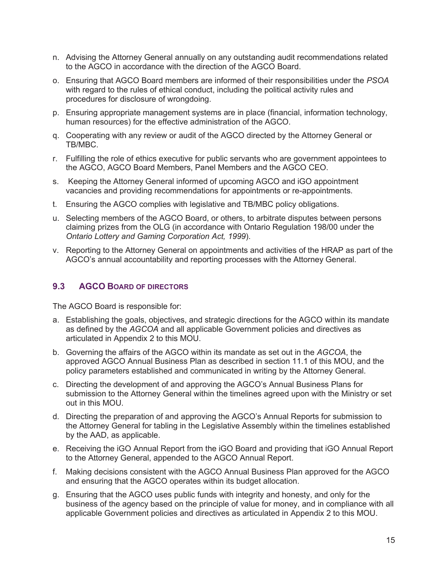- n. Advising the Attorney General annually on any outstanding audit recommendations related to the AGCO in accordance with the direction of the AGCO Board.
- o. Ensuring that AGCO Board members are informed of their responsibilities under the *PSOA* with regard to the rules of ethical conduct, including the political activity rules and procedures for disclosure of wrongdoing.
- p. Ensuring appropriate management systems are in place (financial, information technology, human resources) for the effective administration of the AGCO.
- q. Cooperating with any review or audit of the AGCO directed by the Attorney General or TB/MBC.
- r. Fulfilling the role of ethics executive for public servants who are government appointees to the AGCO, AGCO Board Members, Panel Members and the AGCO CEO.
- s. Keeping the Attorney General informed of upcoming AGCO and iGO appointment vacancies and providing recommendations for appointments or re-appointments.
- t. Ensuring the AGCO complies with legislative and TB/MBC policy obligations.
- u. Selecting members of the AGCO Board, or others, to arbitrate disputes between persons claiming prizes from the OLG (in accordance with Ontario Regulation 198/00 under the *Ontario Lottery and Gaming Corporation Act, 1999*).
- v. Reporting to the Attorney General on appointments and activities of the HRAP as part of the AGCO's annual accountability and reporting processes with the Attorney General.

#### **9.3 AGCO BOARD OF DIRECTORS**

The AGCO Board is responsible for:

- a. Establishing the goals, objectives, and strategic directions for the AGCO within its mandate as defined by the *AGCOA* and all applicable Government policies and directives as articulated in Appendix 2 to this MOU.
- b. Governing the affairs of the AGCO within its mandate as set out in the *AGCOA*, the approved AGCO Annual Business Plan as described in section 11.1 of this MOU, and the policy parameters established and communicated in writing by the Attorney General.
- c. Directing the development of and approving the AGCO's Annual Business Plans for submission to the Attorney General within the timelines agreed upon with the Ministry or set out in this MOU.
- d. Directing the preparation of and approving the AGCO's Annual Reports for submission to the Attorney General for tabling in the Legislative Assembly within the timelines established by the AAD, as applicable.
- e. Receiving the iGO Annual Report from the iGO Board and providing that iGO Annual Report to the Attorney General, appended to the AGCO Annual Report.
- f. Making decisions consistent with the AGCO Annual Business Plan approved for the AGCO and ensuring that the AGCO operates within its budget allocation.
- g. Ensuring that the AGCO uses public funds with integrity and honesty, and only for the business of the agency based on the principle of value for money, and in compliance with all applicable Government policies and directives as articulated in Appendix 2 to this MOU.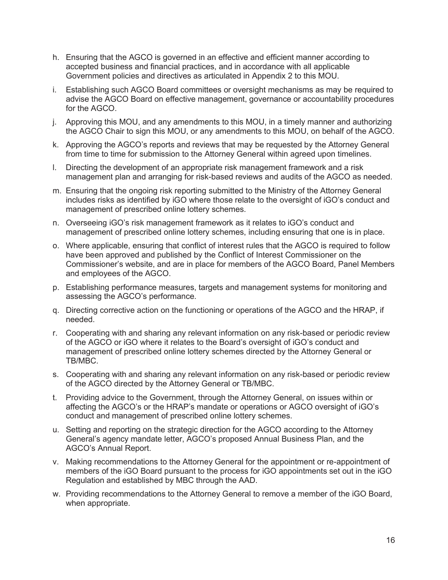- h. Ensuring that the AGCO is governed in an effective and efficient manner according to accepted business and financial practices, and in accordance with all applicable Government policies and directives as articulated in Appendix 2 to this MOU.
- i. Establishing such AGCO Board committees or oversight mechanisms as may be required to advise the AGCO Board on effective management, governance or accountability procedures for the AGCO.
- j. Approving this MOU, and any amendments to this MOU, in a timely manner and authorizing the AGCO Chair to sign this MOU, or any amendments to this MOU, on behalf of the AGCO.
- k. Approving the AGCO's reports and reviews that may be requested by the Attorney General from time to time for submission to the Attorney General within agreed upon timelines.
- l. Directing the development of an appropriate risk management framework and a risk management plan and arranging for risk-based reviews and audits of the AGCO as needed.
- m. Ensuring that the ongoing risk reporting submitted to the Ministry of the Attorney General includes risks as identified by iGO where those relate to the oversight of iGO's conduct and management of prescribed online lottery schemes.
- n. Overseeing iGO's risk management framework as it relates to iGO's conduct and management of prescribed online lottery schemes, including ensuring that one is in place.
- o. Where applicable, ensuring that conflict of interest rules that the AGCO is required to follow have been approved and published by the Conflict of Interest Commissioner on the Commissioner's website, and are in place for members of the AGCO Board, Panel Members and employees of the AGCO.
- p. Establishing performance measures, targets and management systems for monitoring and assessing the AGCO's performance.
- q. Directing corrective action on the functioning or operations of the AGCO and the HRAP, if needed.
- r. Cooperating with and sharing any relevant information on any risk-based or periodic review of the AGCO or iGO where it relates to the Board's oversight of iGO's conduct and management of prescribed online lottery schemes directed by the Attorney General or TB/MBC.
- s. Cooperating with and sharing any relevant information on any risk-based or periodic review of the AGCO directed by the Attorney General or TB/MBC.
- t. Providing advice to the Government, through the Attorney General, on issues within or affecting the AGCO's or the HRAP's mandate or operations or AGCO oversight of iGO's conduct and management of prescribed online lottery schemes.
- u. Setting and reporting on the strategic direction for the AGCO according to the Attorney General's agency mandate letter, AGCO's proposed Annual Business Plan, and the AGCO's Annual Report.
- v. Making recommendations to the Attorney General for the appointment or re-appointment of members of the iGO Board pursuant to the process for iGO appointments set out in the iGO Regulation and established by MBC through the AAD.
- w. Providing recommendations to the Attorney General to remove a member of the iGO Board, when appropriate.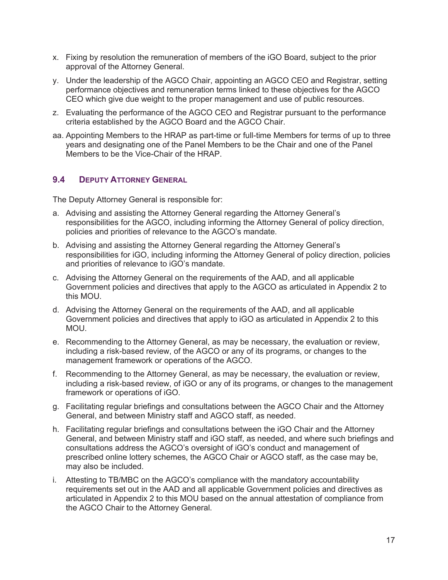- x. Fixing by resolution the remuneration of members of the iGO Board, subject to the prior approval of the Attorney General.
- y. Under the leadership of the AGCO Chair, appointing an AGCO CEO and Registrar, setting performance objectives and remuneration terms linked to these objectives for the AGCO CEO which give due weight to the proper management and use of public resources.
- z. Evaluating the performance of the AGCO CEO and Registrar pursuant to the performance criteria established by the AGCO Board and the AGCO Chair.
- aa. Appointing Members to the HRAP as part-time or full-time Members for terms of up to three years and designating one of the Panel Members to be the Chair and one of the Panel Members to be the Vice-Chair of the HRAP.

#### **9.4 DEPUTY ATTORNEY GENERAL**

The Deputy Attorney General is responsible for:

- a. Advising and assisting the Attorney General regarding the Attorney General's responsibilities for the AGCO, including informing the Attorney General of policy direction, policies and priorities of relevance to the AGCO's mandate.
- b. Advising and assisting the Attorney General regarding the Attorney General's responsibilities for iGO, including informing the Attorney General of policy direction, policies and priorities of relevance to iGO's mandate.
- c. Advising the Attorney General on the requirements of the AAD, and all applicable Government policies and directives that apply to the AGCO as articulated in Appendix 2 to this MOU.
- d. Advising the Attorney General on the requirements of the AAD, and all applicable Government policies and directives that apply to iGO as articulated in Appendix 2 to this MOU.
- e. Recommending to the Attorney General, as may be necessary, the evaluation or review, including a risk-based review, of the AGCO or any of its programs, or changes to the management framework or operations of the AGCO.
- f. Recommending to the Attorney General, as may be necessary, the evaluation or review, including a risk-based review, of iGO or any of its programs, or changes to the management framework or operations of iGO.
- g. Facilitating regular briefings and consultations between the AGCO Chair and the Attorney General, and between Ministry staff and AGCO staff, as needed.
- h. Facilitating regular briefings and consultations between the iGO Chair and the Attorney General, and between Ministry staff and iGO staff, as needed, and where such briefings and consultations address the AGCO's oversight of iGO's conduct and management of prescribed online lottery schemes, the AGCO Chair or AGCO staff, as the case may be, may also be included.
- i. Attesting to TB/MBC on the AGCO's compliance with the mandatory accountability requirements set out in the AAD and all applicable Government policies and directives as articulated in Appendix 2 to this MOU based on the annual attestation of compliance from the AGCO Chair to the Attorney General.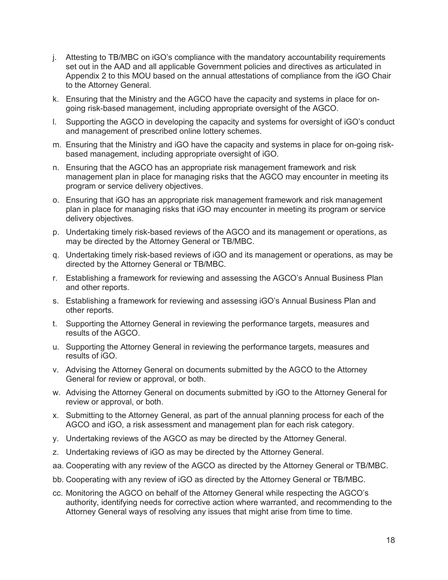- j. Attesting to TB/MBC on iGO's compliance with the mandatory accountability requirements set out in the AAD and all applicable Government policies and directives as articulated in Appendix 2 to this MOU based on the annual attestations of compliance from the iGO Chair to the Attorney General.
- k. Ensuring that the Ministry and the AGCO have the capacity and systems in place for ongoing risk-based management, including appropriate oversight of the AGCO.
- l. Supporting the AGCO in developing the capacity and systems for oversight of iGO's conduct and management of prescribed online lottery schemes.
- m. Ensuring that the Ministry and iGO have the capacity and systems in place for on-going riskbased management, including appropriate oversight of iGO.
- n. Ensuring that the AGCO has an appropriate risk management framework and risk management plan in place for managing risks that the AGCO may encounter in meeting its program or service delivery objectives.
- o. Ensuring that iGO has an appropriate risk management framework and risk management plan in place for managing risks that iGO may encounter in meeting its program or service delivery objectives.
- p. Undertaking timely risk-based reviews of the AGCO and its management or operations, as may be directed by the Attorney General or TB/MBC.
- q. Undertaking timely risk-based reviews of iGO and its management or operations, as may be directed by the Attorney General or TB/MBC.
- r. Establishing a framework for reviewing and assessing the AGCO's Annual Business Plan and other reports.
- s. Establishing a framework for reviewing and assessing iGO's Annual Business Plan and other reports.
- t. Supporting the Attorney General in reviewing the performance targets, measures and results of the AGCO.
- u. Supporting the Attorney General in reviewing the performance targets, measures and results of iGO.
- v. Advising the Attorney General on documents submitted by the AGCO to the Attorney General for review or approval, or both.
- w. Advising the Attorney General on documents submitted by iGO to the Attorney General for review or approval, or both.
- x. Submitting to the Attorney General, as part of the annual planning process for each of the AGCO and iGO, a risk assessment and management plan for each risk category.
- y. Undertaking reviews of the AGCO as may be directed by the Attorney General.
- z. Undertaking reviews of iGO as may be directed by the Attorney General.
- aa. Cooperating with any review of the AGCO as directed by the Attorney General or TB/MBC.
- bb. Cooperating with any review of iGO as directed by the Attorney General or TB/MBC.
- cc. Monitoring the AGCO on behalf of the Attorney General while respecting the AGCO's authority, identifying needs for corrective action where warranted, and recommending to the Attorney General ways of resolving any issues that might arise from time to time.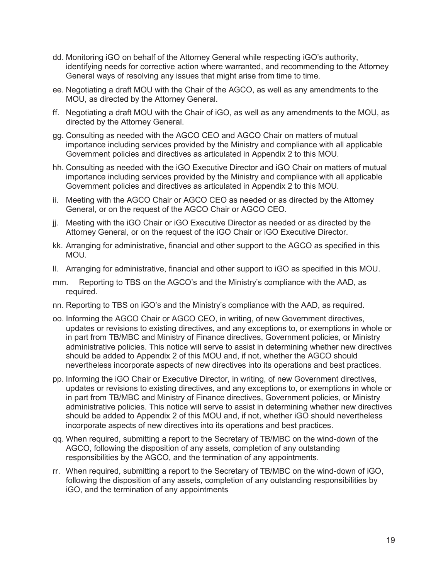- dd. Monitoring iGO on behalf of the Attorney General while respecting iGO's authority, identifying needs for corrective action where warranted, and recommending to the Attorney General ways of resolving any issues that might arise from time to time.
- ee. Negotiating a draft MOU with the Chair of the AGCO, as well as any amendments to the MOU, as directed by the Attorney General.
- ff. Negotiating a draft MOU with the Chair of iGO, as well as any amendments to the MOU, as directed by the Attorney General.
- gg. Consulting as needed with the AGCO CEO and AGCO Chair on matters of mutual importance including services provided by the Ministry and compliance with all applicable Government policies and directives as articulated in Appendix 2 to this MOU.
- hh. Consulting as needed with the iGO Executive Director and iGO Chair on matters of mutual importance including services provided by the Ministry and compliance with all applicable Government policies and directives as articulated in Appendix 2 to this MOU.
- ii. Meeting with the AGCO Chair or AGCO CEO as needed or as directed by the Attorney General, or on the request of the AGCO Chair or AGCO CEO.
- jj. Meeting with the iGO Chair or iGO Executive Director as needed or as directed by the Attorney General, or on the request of the iGO Chair or iGO Executive Director.
- kk. Arranging for administrative, financial and other support to the AGCO as specified in this MOU.
- ll. Arranging for administrative, financial and other support to iGO as specified in this MOU.
- mm. Reporting to TBS on the AGCO's and the Ministry's compliance with the AAD, as required.
- nn. Reporting to TBS on iGO's and the Ministry's compliance with the AAD, as required.
- oo. Informing the AGCO Chair or AGCO CEO, in writing, of new Government directives, updates or revisions to existing directives, and any exceptions to, or exemptions in whole or in part from TB/MBC and Ministry of Finance directives, Government policies, or Ministry administrative policies. This notice will serve to assist in determining whether new directives should be added to Appendix 2 of this MOU and, if not, whether the AGCO should nevertheless incorporate aspects of new directives into its operations and best practices.
- pp. Informing the iGO Chair or Executive Director, in writing, of new Government directives, updates or revisions to existing directives, and any exceptions to, or exemptions in whole or in part from TB/MBC and Ministry of Finance directives, Government policies, or Ministry administrative policies. This notice will serve to assist in determining whether new directives should be added to Appendix 2 of this MOU and, if not, whether iGO should nevertheless incorporate aspects of new directives into its operations and best practices.
- qq. When required, submitting a report to the Secretary of TB/MBC on the wind-down of the AGCO, following the disposition of any assets, completion of any outstanding responsibilities by the AGCO, and the termination of any appointments.
- rr. When required, submitting a report to the Secretary of TB/MBC on the wind-down of iGO, following the disposition of any assets, completion of any outstanding responsibilities by iGO, and the termination of any appointments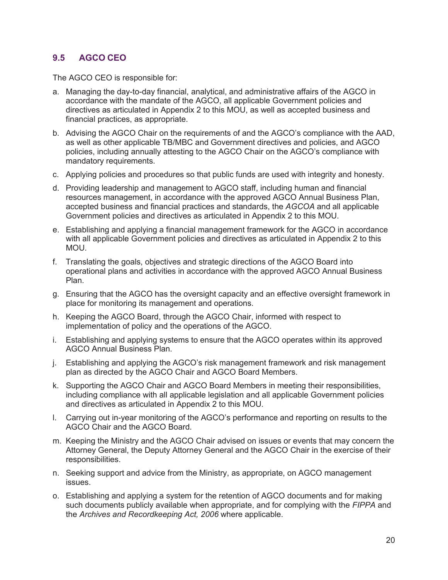### **9.5 AGCO CEO**

The AGCO CEO is responsible for:

- a. Managing the day-to-day financial, analytical, and administrative affairs of the AGCO in accordance with the mandate of the AGCO, all applicable Government policies and directives as articulated in Appendix 2 to this MOU, as well as accepted business and financial practices, as appropriate.
- b. Advising the AGCO Chair on the requirements of and the AGCO's compliance with the AAD, as well as other applicable TB/MBC and Government directives and policies, and AGCO policies, including annually attesting to the AGCO Chair on the AGCO's compliance with mandatory requirements.
- c. Applying policies and procedures so that public funds are used with integrity and honesty.
- d. Providing leadership and management to AGCO staff, including human and financial resources management, in accordance with the approved AGCO Annual Business Plan, accepted business and financial practices and standards, the *AGCOA* and all applicable Government policies and directives as articulated in Appendix 2 to this MOU.
- e. Establishing and applying a financial management framework for the AGCO in accordance with all applicable Government policies and directives as articulated in Appendix 2 to this MOU.
- f. Translating the goals, objectives and strategic directions of the AGCO Board into operational plans and activities in accordance with the approved AGCO Annual Business Plan.
- g. Ensuring that the AGCO has the oversight capacity and an effective oversight framework in place for monitoring its management and operations.
- h. Keeping the AGCO Board, through the AGCO Chair, informed with respect to implementation of policy and the operations of the AGCO.
- i. Establishing and applying systems to ensure that the AGCO operates within its approved AGCO Annual Business Plan.
- j. Establishing and applying the AGCO's risk management framework and risk management plan as directed by the AGCO Chair and AGCO Board Members.
- k. Supporting the AGCO Chair and AGCO Board Members in meeting their responsibilities, including compliance with all applicable legislation and all applicable Government policies and directives as articulated in Appendix 2 to this MOU.
- l. Carrying out in-year monitoring of the AGCO's performance and reporting on results to the AGCO Chair and the AGCO Board.
- m. Keeping the Ministry and the AGCO Chair advised on issues or events that may concern the Attorney General, the Deputy Attorney General and the AGCO Chair in the exercise of their responsibilities.
- n. Seeking support and advice from the Ministry, as appropriate, on AGCO management issues.
- o. Establishing and applying a system for the retention of AGCO documents and for making such documents publicly available when appropriate, and for complying with the *FIPPA* and the *Archives and Recordkeeping Act, 2006* where applicable.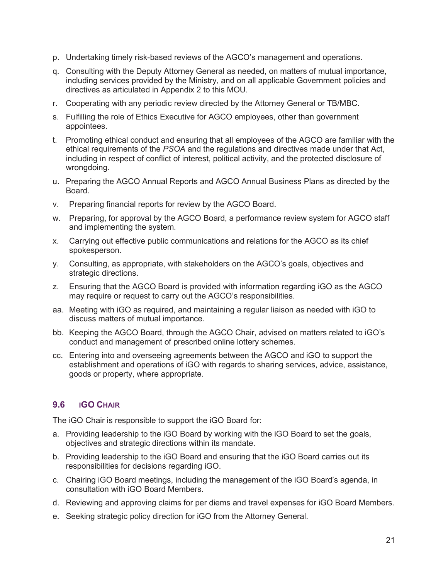- p. Undertaking timely risk-based reviews of the AGCO's management and operations.
- q. Consulting with the Deputy Attorney General as needed, on matters of mutual importance, including services provided by the Ministry, and on all applicable Government policies and directives as articulated in Appendix 2 to this MOU.
- r. Cooperating with any periodic review directed by the Attorney General or TB/MBC.
- s. Fulfilling the role of Ethics Executive for AGCO employees, other than government appointees.
- t. Promoting ethical conduct and ensuring that all employees of the AGCO are familiar with the ethical requirements of the *PSOA* and the regulations and directives made under that Act, including in respect of conflict of interest, political activity, and the protected disclosure of wrongdoing.
- u. Preparing the AGCO Annual Reports and AGCO Annual Business Plans as directed by the Board.
- v. Preparing financial reports for review by the AGCO Board.
- w. Preparing, for approval by the AGCO Board, a performance review system for AGCO staff and implementing the system.
- x. Carrying out effective public communications and relations for the AGCO as its chief spokesperson.
- y. Consulting, as appropriate, with stakeholders on the AGCO's goals, objectives and strategic directions.
- z. Ensuring that the AGCO Board is provided with information regarding iGO as the AGCO may require or request to carry out the AGCO's responsibilities.
- aa. Meeting with iGO as required, and maintaining a regular liaison as needed with iGO to discuss matters of mutual importance.
- bb. Keeping the AGCO Board, through the AGCO Chair, advised on matters related to iGO's conduct and management of prescribed online lottery schemes.
- cc. Entering into and overseeing agreements between the AGCO and iGO to support the establishment and operations of iGO with regards to sharing services, advice, assistance, goods or property, where appropriate.

#### **9.6 IGO CHAIR**

The iGO Chair is responsible to support the iGO Board for:

- a. Providing leadership to the iGO Board by working with the iGO Board to set the goals, objectives and strategic directions within its mandate.
- b. Providing leadership to the iGO Board and ensuring that the iGO Board carries out its responsibilities for decisions regarding iGO.
- c. Chairing iGO Board meetings, including the management of the iGO Board's agenda, in consultation with iGO Board Members.
- d. Reviewing and approving claims for per diems and travel expenses for iGO Board Members.
- e. Seeking strategic policy direction for iGO from the Attorney General.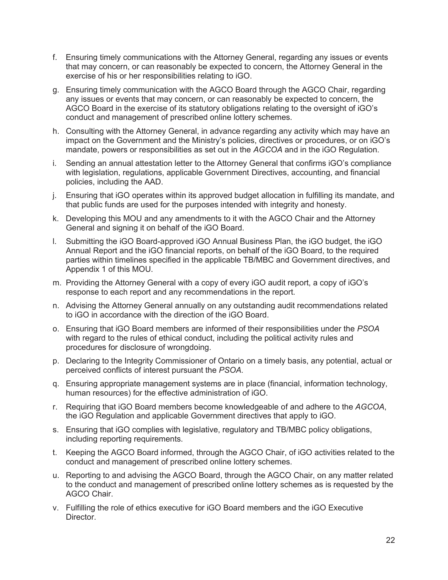- f. Ensuring timely communications with the Attorney General, regarding any issues or events that may concern, or can reasonably be expected to concern, the Attorney General in the exercise of his or her responsibilities relating to iGO.
- g. Ensuring timely communication with the AGCO Board through the AGCO Chair, regarding any issues or events that may concern, or can reasonably be expected to concern, the AGCO Board in the exercise of its statutory obligations relating to the oversight of iGO's conduct and management of prescribed online lottery schemes.
- h. Consulting with the Attorney General, in advance regarding any activity which may have an impact on the Government and the Ministry's policies, directives or procedures, or on iGO's mandate, powers or responsibilities as set out in the *AGCOA* and in the iGO Regulation.
- i. Sending an annual attestation letter to the Attorney General that confirms iGO's compliance with legislation, regulations, applicable Government Directives, accounting, and financial policies, including the AAD.
- j. Ensuring that iGO operates within its approved budget allocation in fulfilling its mandate, and that public funds are used for the purposes intended with integrity and honesty.
- k. Developing this MOU and any amendments to it with the AGCO Chair and the Attorney General and signing it on behalf of the iGO Board.
- l. Submitting the iGO Board-approved iGO Annual Business Plan, the iGO budget, the iGO Annual Report and the iGO financial reports, on behalf of the iGO Board, to the required parties within timelines specified in the applicable TB/MBC and Government directives, and Appendix 1 of this MOU.
- m. Providing the Attorney General with a copy of every iGO audit report, a copy of iGO's response to each report and any recommendations in the report.
- n. Advising the Attorney General annually on any outstanding audit recommendations related to iGO in accordance with the direction of the iGO Board.
- o. Ensuring that iGO Board members are informed of their responsibilities under the *PSOA* with regard to the rules of ethical conduct, including the political activity rules and procedures for disclosure of wrongdoing.
- p. Declaring to the Integrity Commissioner of Ontario on a timely basis, any potential, actual or perceived conflicts of interest pursuant the *PSOA*.
- q. Ensuring appropriate management systems are in place (financial, information technology, human resources) for the effective administration of iGO.
- r. Requiring that iGO Board members become knowledgeable of and adhere to the *AGCOA*, the iGO Regulation and applicable Government directives that apply to iGO.
- s. Ensuring that iGO complies with legislative, regulatory and TB/MBC policy obligations, including reporting requirements.
- t. Keeping the AGCO Board informed, through the AGCO Chair, of iGO activities related to the conduct and management of prescribed online lottery schemes.
- u. Reporting to and advising the AGCO Board, through the AGCO Chair, on any matter related to the conduct and management of prescribed online lottery schemes as is requested by the AGCO Chair.
- v. Fulfilling the role of ethics executive for iGO Board members and the iGO Executive Director.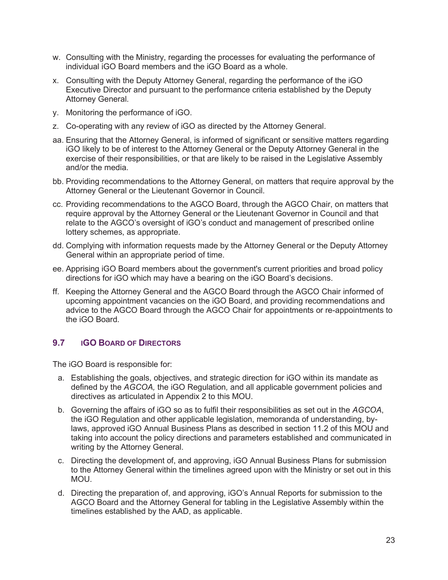- w. Consulting with the Ministry, regarding the processes for evaluating the performance of individual iGO Board members and the iGO Board as a whole.
- x. Consulting with the Deputy Attorney General, regarding the performance of the iGO Executive Director and pursuant to the performance criteria established by the Deputy Attorney General.
- y. Monitoring the performance of iGO.
- z. Co-operating with any review of iGO as directed by the Attorney General.
- aa. Ensuring that the Attorney General, is informed of significant or sensitive matters regarding iGO likely to be of interest to the Attorney General or the Deputy Attorney General in the exercise of their responsibilities, or that are likely to be raised in the Legislative Assembly and/or the media.
- bb. Providing recommendations to the Attorney General, on matters that require approval by the Attorney General or the Lieutenant Governor in Council.
- cc. Providing recommendations to the AGCO Board, through the AGCO Chair, on matters that require approval by the Attorney General or the Lieutenant Governor in Council and that relate to the AGCO's oversight of iGO's conduct and management of prescribed online lottery schemes, as appropriate.
- dd. Complying with information requests made by the Attorney General or the Deputy Attorney General within an appropriate period of time.
- ee. Apprising iGO Board members about the government's current priorities and broad policy directions for iGO which may have a bearing on the iGO Board's decisions.
- ff. Keeping the Attorney General and the AGCO Board through the AGCO Chair informed of upcoming appointment vacancies on the iGO Board, and providing recommendations and advice to the AGCO Board through the AGCO Chair for appointments or re-appointments to the iGO Board.

#### **9.7 IGO BOARD OF DIRECTORS**

The iGO Board is responsible for:

- a. Establishing the goals, objectives, and strategic direction for iGO within its mandate as defined by the *AGCOA,* the iGO Regulation*,* and all applicable government policies and directives as articulated in Appendix 2 to this MOU.
- b. Governing the affairs of iGO so as to fulfil their responsibilities as set out in the *AGCOA*, the iGO Regulation and other applicable legislation, memoranda of understanding, bylaws, approved iGO Annual Business Plans as described in section 11.2 of this MOU and taking into account the policy directions and parameters established and communicated in writing by the Attorney General.
- c. Directing the development of, and approving, iGO Annual Business Plans for submission to the Attorney General within the timelines agreed upon with the Ministry or set out in this MOU.
- d. Directing the preparation of, and approving, iGO's Annual Reports for submission to the AGCO Board and the Attorney General for tabling in the Legislative Assembly within the timelines established by the AAD, as applicable.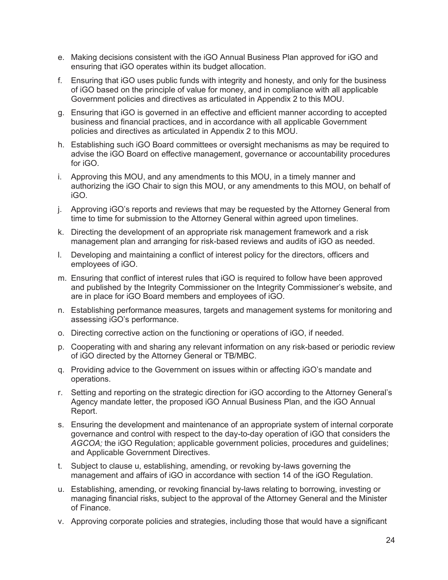- e. Making decisions consistent with the iGO Annual Business Plan approved for iGO and ensuring that iGO operates within its budget allocation.
- f. Ensuring that iGO uses public funds with integrity and honesty, and only for the business of iGO based on the principle of value for money, and in compliance with all applicable Government policies and directives as articulated in Appendix 2 to this MOU.
- g. Ensuring that iGO is governed in an effective and efficient manner according to accepted business and financial practices, and in accordance with all applicable Government policies and directives as articulated in Appendix 2 to this MOU.
- h. Establishing such iGO Board committees or oversight mechanisms as may be required to advise the iGO Board on effective management, governance or accountability procedures for iGO.
- i. Approving this MOU, and any amendments to this MOU, in a timely manner and authorizing the iGO Chair to sign this MOU, or any amendments to this MOU, on behalf of iGO.
- j. Approving iGO's reports and reviews that may be requested by the Attorney General from time to time for submission to the Attorney General within agreed upon timelines.
- k. Directing the development of an appropriate risk management framework and a risk management plan and arranging for risk-based reviews and audits of iGO as needed.
- l. Developing and maintaining a conflict of interest policy for the directors, officers and employees of iGO.
- m. Ensuring that conflict of interest rules that iGO is required to follow have been approved and published by the Integrity Commissioner on the Integrity Commissioner's website, and are in place for iGO Board members and employees of iGO.
- n. Establishing performance measures, targets and management systems for monitoring and assessing iGO's performance.
- o. Directing corrective action on the functioning or operations of iGO, if needed.
- p. Cooperating with and sharing any relevant information on any risk-based or periodic review of iGO directed by the Attorney General or TB/MBC.
- q. Providing advice to the Government on issues within or affecting iGO's mandate and operations.
- r. Setting and reporting on the strategic direction for iGO according to the Attorney General's Agency mandate letter, the proposed iGO Annual Business Plan, and the iGO Annual Report.
- s. Ensuring the development and maintenance of an appropriate system of internal corporate governance and control with respect to the day-to-day operation of iGO that considers the *AGCOA;* the iGO Regulation; applicable government policies, procedures and guidelines; and Applicable Government Directives.
- t. Subject to clause u, establishing, amending, or revoking by-laws governing the management and affairs of iGO in accordance with section 14 of the iGO Regulation.
- u. Establishing, amending, or revoking financial by-laws relating to borrowing, investing or managing financial risks, subject to the approval of the Attorney General and the Minister of Finance.
- v. Approving corporate policies and strategies, including those that would have a significant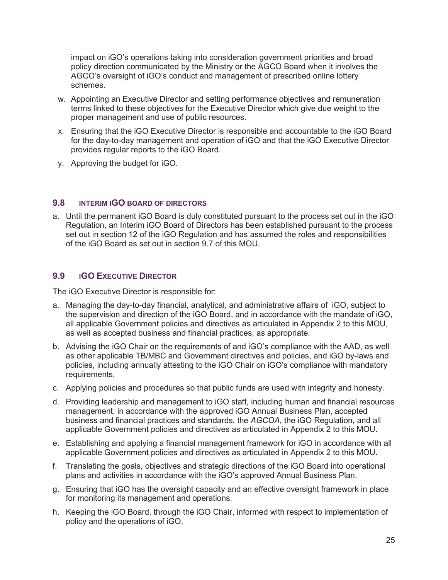impact on iGO's operations taking into consideration government priorities and broad policy direction communicated by the Ministry or the AGCO Board when it involves the AGCO's oversight of iGO's conduct and management of prescribed online lottery schemes.

- w. Appointing an Executive Director and setting performance objectives and remuneration terms linked to these objectives for the Executive Director which give due weight to the proper management and use of public resources.
- x. Ensuring that the iGO Executive Director is responsible and accountable to the iGO Board for the day-to-day management and operation of iGO and that the iGO Executive Director provides regular reports to the iGO Board.
- y. Approving the budget for iGO.

#### **9.8 INTERIM IGO BOARD OF DIRECTORS**

a. Until the permanent iGO Board is duly constituted pursuant to the process set out in the iGO Regulation, an Interim iGO Board of Directors has been established pursuant to the process set out in section 12 of the iGO Regulation and has assumed the roles and responsibilities of the iGO Board as set out in section 9.7 of this MOU.

#### **9.9 IGO EXECUTIVE DIRECTOR**

The iGO Executive Director is responsible for:

- a. Managing the day-to-day financial, analytical, and administrative affairs of iGO, subject to the supervision and direction of the iGO Board, and in accordance with the mandate of iGO, all applicable Government policies and directives as articulated in Appendix 2 to this MOU, as well as accepted business and financial practices, as appropriate.
- b. Advising the iGO Chair on the requirements of and iGO's compliance with the AAD, as well as other applicable TB/MBC and Government directives and policies, and iGO by-laws and policies, including annually attesting to the iGO Chair on iGO's compliance with mandatory requirements.
- c. Applying policies and procedures so that public funds are used with integrity and honesty.
- d. Providing leadership and management to iGO staff, including human and financial resources management, in accordance with the approved iGO Annual Business Plan, accepted business and financial practices and standards, the *AGCOA*, the iGO Regulation, and all applicable Government policies and directives as articulated in Appendix 2 to this MOU.
- e. Establishing and applying a financial management framework for iGO in accordance with all applicable Government policies and directives as articulated in Appendix 2 to this MOU.
- f. Translating the goals, objectives and strategic directions of the iGO Board into operational plans and activities in accordance with the iGO's approved Annual Business Plan.
- g. Ensuring that iGO has the oversight capacity and an effective oversight framework in place for monitoring its management and operations.
- h. Keeping the iGO Board, through the iGO Chair, informed with respect to implementation of policy and the operations of iGO.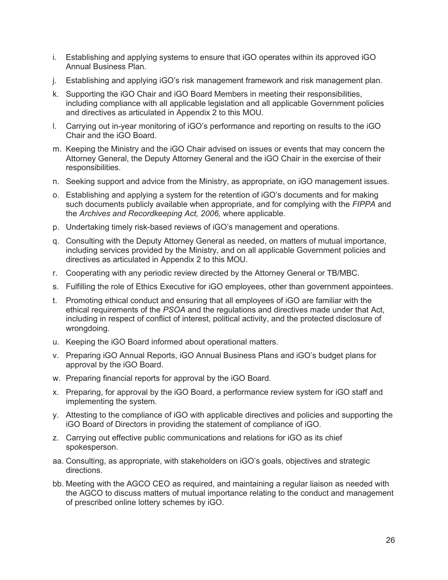- i. Establishing and applying systems to ensure that iGO operates within its approved iGO Annual Business Plan.
- j. Establishing and applying iGO's risk management framework and risk management plan.
- k. Supporting the iGO Chair and iGO Board Members in meeting their responsibilities, including compliance with all applicable legislation and all applicable Government policies and directives as articulated in Appendix 2 to this MOU.
- l. Carrying out in-year monitoring of iGO's performance and reporting on results to the iGO Chair and the iGO Board.
- m. Keeping the Ministry and the iGO Chair advised on issues or events that may concern the Attorney General, the Deputy Attorney General and the iGO Chair in the exercise of their responsibilities.
- n. Seeking support and advice from the Ministry, as appropriate, on iGO management issues.
- o. Establishing and applying a system for the retention of iGO's documents and for making such documents publicly available when appropriate, and for complying with the *FIPPA* and the *Archives and Recordkeeping Act, 2006,* where applicable.
- p. Undertaking timely risk-based reviews of iGO's management and operations.
- q. Consulting with the Deputy Attorney General as needed, on matters of mutual importance, including services provided by the Ministry, and on all applicable Government policies and directives as articulated in Appendix 2 to this MOU.
- r. Cooperating with any periodic review directed by the Attorney General or TB/MBC.
- s. Fulfilling the role of Ethics Executive for iGO employees, other than government appointees.
- t. Promoting ethical conduct and ensuring that all employees of iGO are familiar with the ethical requirements of the *PSOA* and the regulations and directives made under that Act, including in respect of conflict of interest, political activity, and the protected disclosure of wrongdoing.
- u. Keeping the iGO Board informed about operational matters.
- v. Preparing iGO Annual Reports, iGO Annual Business Plans and iGO's budget plans for approval by the iGO Board.
- w. Preparing financial reports for approval by the iGO Board.
- x. Preparing, for approval by the iGO Board, a performance review system for iGO staff and implementing the system.
- y. Attesting to the compliance of iGO with applicable directives and policies and supporting the iGO Board of Directors in providing the statement of compliance of iGO.
- z. Carrying out effective public communications and relations for iGO as its chief spokesperson.
- aa. Consulting, as appropriate, with stakeholders on iGO's goals, objectives and strategic directions.
- bb. Meeting with the AGCO CEO as required, and maintaining a regular liaison as needed with the AGCO to discuss matters of mutual importance relating to the conduct and management of prescribed online lottery schemes by iGO.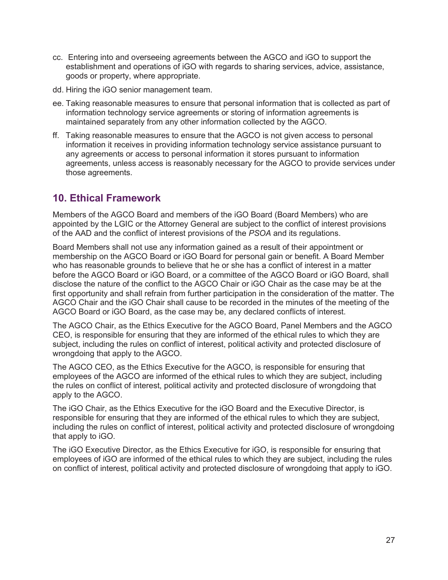- cc. Entering into and overseeing agreements between the AGCO and iGO to support the establishment and operations of iGO with regards to sharing services, advice, assistance, goods or property, where appropriate.
- dd. Hiring the iGO senior management team.
- ee. Taking reasonable measures to ensure that personal information that is collected as part of information technology service agreements or storing of information agreements is maintained separately from any other information collected by the AGCO.
- ff. Taking reasonable measures to ensure that the AGCO is not given access to personal information it receives in providing information technology service assistance pursuant to any agreements or access to personal information it stores pursuant to information agreements, unless access is reasonably necessary for the AGCO to provide services under those agreements.

# **10. Ethical Framework**

Members of the AGCO Board and members of the iGO Board (Board Members) who are appointed by the LGIC or the Attorney General are subject to the conflict of interest provisions of the AAD and the conflict of interest provisions of the *PSOA* and its regulations.

Board Members shall not use any information gained as a result of their appointment or membership on the AGCO Board or iGO Board for personal gain or benefit. A Board Member who has reasonable grounds to believe that he or she has a conflict of interest in a matter before the AGCO Board or iGO Board, or a committee of the AGCO Board or iGO Board, shall disclose the nature of the conflict to the AGCO Chair or iGO Chair as the case may be at the first opportunity and shall refrain from further participation in the consideration of the matter. The AGCO Chair and the iGO Chair shall cause to be recorded in the minutes of the meeting of the AGCO Board or iGO Board, as the case may be, any declared conflicts of interest.

The AGCO Chair, as the Ethics Executive for the AGCO Board, Panel Members and the AGCO CEO, is responsible for ensuring that they are informed of the ethical rules to which they are subject, including the rules on conflict of interest, political activity and protected disclosure of wrongdoing that apply to the AGCO.

The AGCO CEO, as the Ethics Executive for the AGCO, is responsible for ensuring that employees of the AGCO are informed of the ethical rules to which they are subject, including the rules on conflict of interest, political activity and protected disclosure of wrongdoing that apply to the AGCO.

The iGO Chair, as the Ethics Executive for the iGO Board and the Executive Director, is responsible for ensuring that they are informed of the ethical rules to which they are subject, including the rules on conflict of interest, political activity and protected disclosure of wrongdoing that apply to iGO.

The iGO Executive Director, as the Ethics Executive for iGO, is responsible for ensuring that employees of iGO are informed of the ethical rules to which they are subject, including the rules on conflict of interest, political activity and protected disclosure of wrongdoing that apply to iGO.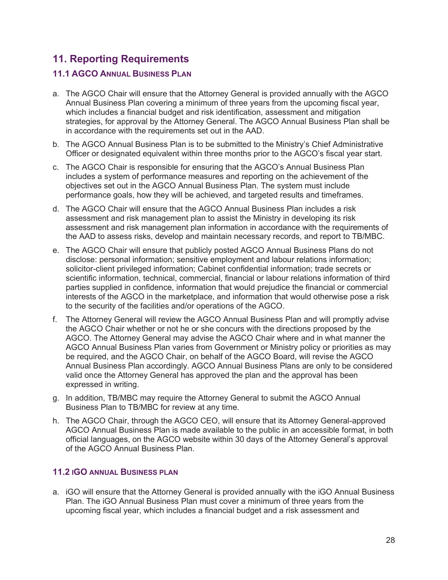# **11. Reporting Requirements**

### **11.1 AGCO ANNUAL BUSINESS PLAN**

- a. The AGCO Chair will ensure that the Attorney General is provided annually with the AGCO Annual Business Plan covering a minimum of three years from the upcoming fiscal year, which includes a financial budget and risk identification, assessment and mitigation strategies, for approval by the Attorney General. The AGCO Annual Business Plan shall be in accordance with the requirements set out in the AAD.
- b. The AGCO Annual Business Plan is to be submitted to the Ministry's Chief Administrative Officer or designated equivalent within three months prior to the AGCO's fiscal year start.
- c. The AGCO Chair is responsible for ensuring that the AGCO's Annual Business Plan includes a system of performance measures and reporting on the achievement of the objectives set out in the AGCO Annual Business Plan. The system must include performance goals, how they will be achieved, and targeted results and timeframes.
- d. The AGCO Chair will ensure that the AGCO Annual Business Plan includes a risk assessment and risk management plan to assist the Ministry in developing its risk assessment and risk management plan information in accordance with the requirements of the AAD to assess risks, develop and maintain necessary records, and report to TB/MBC.
- e. The AGCO Chair will ensure that publicly posted AGCO Annual Business Plans do not disclose: personal information; sensitive employment and labour relations information; solicitor-client privileged information; Cabinet confidential information; trade secrets or scientific information, technical, commercial, financial or labour relations information of third parties supplied in confidence, information that would prejudice the financial or commercial interests of the AGCO in the marketplace, and information that would otherwise pose a risk to the security of the facilities and/or operations of the AGCO.
- f. The Attorney General will review the AGCO Annual Business Plan and will promptly advise the AGCO Chair whether or not he or she concurs with the directions proposed by the AGCO. The Attorney General may advise the AGCO Chair where and in what manner the AGCO Annual Business Plan varies from Government or Ministry policy or priorities as may be required, and the AGCO Chair, on behalf of the AGCO Board, will revise the AGCO Annual Business Plan accordingly. AGCO Annual Business Plans are only to be considered valid once the Attorney General has approved the plan and the approval has been expressed in writing.
- g. In addition, TB/MBC may require the Attorney General to submit the AGCO Annual Business Plan to TB/MBC for review at any time.
- h. The AGCO Chair, through the AGCO CEO, will ensure that its Attorney General-approved AGCO Annual Business Plan is made available to the public in an accessible format, in both official languages, on the AGCO website within 30 days of the Attorney General's approval of the AGCO Annual Business Plan.

#### **11.2 IGO ANNUAL BUSINESS PLAN**

a. iGO will ensure that the Attorney General is provided annually with the iGO Annual Business Plan. The iGO Annual Business Plan must cover a minimum of three years from the upcoming fiscal year, which includes a financial budget and a risk assessment and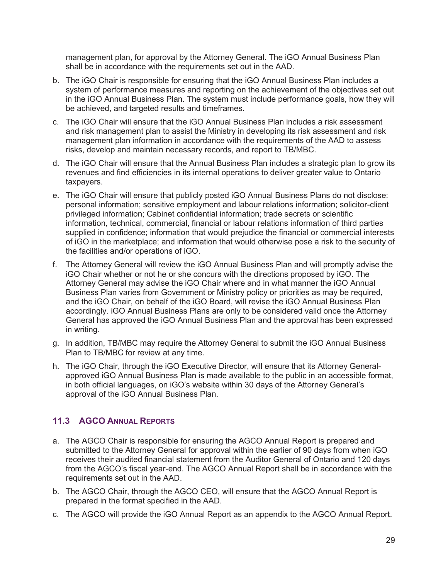management plan, for approval by the Attorney General. The iGO Annual Business Plan shall be in accordance with the requirements set out in the AAD.

- b. The iGO Chair is responsible for ensuring that the iGO Annual Business Plan includes a system of performance measures and reporting on the achievement of the objectives set out in the iGO Annual Business Plan. The system must include performance goals, how they will be achieved, and targeted results and timeframes.
- c. The iGO Chair will ensure that the iGO Annual Business Plan includes a risk assessment and risk management plan to assist the Ministry in developing its risk assessment and risk management plan information in accordance with the requirements of the AAD to assess risks, develop and maintain necessary records, and report to TB/MBC.
- d. The iGO Chair will ensure that the Annual Business Plan includes a strategic plan to grow its revenues and find efficiencies in its internal operations to deliver greater value to Ontario taxpayers.
- e. The iGO Chair will ensure that publicly posted iGO Annual Business Plans do not disclose: personal information; sensitive employment and labour relations information; solicitor-client privileged information; Cabinet confidential information; trade secrets or scientific information, technical, commercial, financial or labour relations information of third parties supplied in confidence; information that would prejudice the financial or commercial interests of iGO in the marketplace; and information that would otherwise pose a risk to the security of the facilities and/or operations of iGO.
- f. The Attorney General will review the iGO Annual Business Plan and will promptly advise the iGO Chair whether or not he or she concurs with the directions proposed by iGO. The Attorney General may advise the iGO Chair where and in what manner the iGO Annual Business Plan varies from Government or Ministry policy or priorities as may be required, and the iGO Chair, on behalf of the iGO Board, will revise the iGO Annual Business Plan accordingly. iGO Annual Business Plans are only to be considered valid once the Attorney General has approved the iGO Annual Business Plan and the approval has been expressed in writing.
- g. In addition, TB/MBC may require the Attorney General to submit the iGO Annual Business Plan to TB/MBC for review at any time.
- h. The iGO Chair, through the iGO Executive Director, will ensure that its Attorney Generalapproved iGO Annual Business Plan is made available to the public in an accessible format, in both official languages, on iGO's website within 30 days of the Attorney General's approval of the iGO Annual Business Plan.

#### **11.3 AGCO ANNUAL REPORTS**

- a. The AGCO Chair is responsible for ensuring the AGCO Annual Report is prepared and submitted to the Attorney General for approval within the earlier of 90 days from when iGO receives their audited financial statement from the Auditor General of Ontario and 120 days from the AGCO's fiscal year-end. The AGCO Annual Report shall be in accordance with the requirements set out in the AAD.
- b. The AGCO Chair, through the AGCO CEO, will ensure that the AGCO Annual Report is prepared in the format specified in the AAD.
- c. The AGCO will provide the iGO Annual Report as an appendix to the AGCO Annual Report.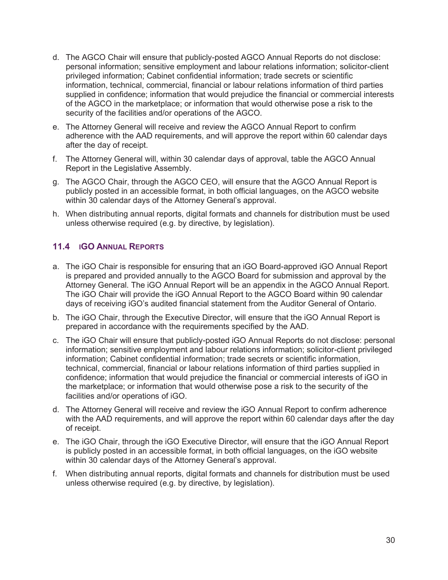- d. The AGCO Chair will ensure that publicly-posted AGCO Annual Reports do not disclose: personal information; sensitive employment and labour relations information; solicitor-client privileged information; Cabinet confidential information; trade secrets or scientific information, technical, commercial, financial or labour relations information of third parties supplied in confidence; information that would prejudice the financial or commercial interests of the AGCO in the marketplace; or information that would otherwise pose a risk to the security of the facilities and/or operations of the AGCO.
- e. The Attorney General will receive and review the AGCO Annual Report to confirm adherence with the AAD requirements, and will approve the report within 60 calendar days after the day of receipt.
- f. The Attorney General will, within 30 calendar days of approval, table the AGCO Annual Report in the Legislative Assembly.
- g. The AGCO Chair, through the AGCO CEO, will ensure that the AGCO Annual Report is publicly posted in an accessible format, in both official languages, on the AGCO website within 30 calendar days of the Attorney General's approval.
- h. When distributing annual reports, digital formats and channels for distribution must be used unless otherwise required (e.g. by directive, by legislation).

### **11.4 IGO ANNUAL REPORTS**

- a. The iGO Chair is responsible for ensuring that an iGO Board-approved iGO Annual Report is prepared and provided annually to the AGCO Board for submission and approval by the Attorney General. The iGO Annual Report will be an appendix in the AGCO Annual Report. The iGO Chair will provide the iGO Annual Report to the AGCO Board within 90 calendar days of receiving iGO's audited financial statement from the Auditor General of Ontario.
- b. The iGO Chair, through the Executive Director, will ensure that the iGO Annual Report is prepared in accordance with the requirements specified by the AAD.
- c. The iGO Chair will ensure that publicly-posted iGO Annual Reports do not disclose: personal information; sensitive employment and labour relations information; solicitor-client privileged information; Cabinet confidential information; trade secrets or scientific information, technical, commercial, financial or labour relations information of third parties supplied in confidence; information that would prejudice the financial or commercial interests of iGO in the marketplace; or information that would otherwise pose a risk to the security of the facilities and/or operations of iGO.
- d. The Attorney General will receive and review the iGO Annual Report to confirm adherence with the AAD requirements, and will approve the report within 60 calendar days after the day of receipt.
- e. The iGO Chair, through the iGO Executive Director, will ensure that the iGO Annual Report is publicly posted in an accessible format, in both official languages, on the iGO website within 30 calendar days of the Attorney General's approval.
- f. When distributing annual reports, digital formats and channels for distribution must be used unless otherwise required (e.g. by directive, by legislation).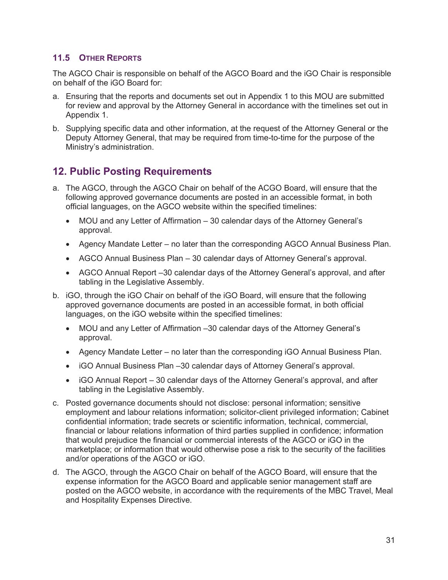#### **11.5 OTHER REPORTS**

The AGCO Chair is responsible on behalf of the AGCO Board and the iGO Chair is responsible on behalf of the iGO Board for:

- a. Ensuring that the reports and documents set out in Appendix 1 to this MOU are submitted for review and approval by the Attorney General in accordance with the timelines set out in Appendix 1.
- b. Supplying specific data and other information, at the request of the Attorney General or the Deputy Attorney General, that may be required from time-to-time for the purpose of the Ministry's administration.

# **12. Public Posting Requirements**

- a. The AGCO, through the AGCO Chair on behalf of the ACGO Board, will ensure that the following approved governance documents are posted in an accessible format, in both official languages, on the AGCO website within the specified timelines:
	- MOU and any Letter of Affirmation 30 calendar days of the Attorney General's approval.
	- Agency Mandate Letter no later than the corresponding AGCO Annual Business Plan.
	- AGCO Annual Business Plan 30 calendar days of Attorney General's approval.
	- AGCO Annual Report –30 calendar days of the Attorney General's approval, and after tabling in the Legislative Assembly.
- b. iGO, through the iGO Chair on behalf of the iGO Board, will ensure that the following approved governance documents are posted in an accessible format, in both official languages, on the iGO website within the specified timelines:
	- MOU and any Letter of Affirmation –30 calendar days of the Attorney General's approval.
	- Agency Mandate Letter no later than the corresponding iGO Annual Business Plan.
	- iGO Annual Business Plan –30 calendar days of Attorney General's approval.
	- $\bullet$  iGO Annual Report 30 calendar days of the Attorney General's approval, and after tabling in the Legislative Assembly.
- c. Posted governance documents should not disclose: personal information; sensitive employment and labour relations information; solicitor-client privileged information; Cabinet confidential information; trade secrets or scientific information, technical, commercial, financial or labour relations information of third parties supplied in confidence; information that would prejudice the financial or commercial interests of the AGCO or iGO in the marketplace; or information that would otherwise pose a risk to the security of the facilities and/or operations of the AGCO or iGO.
- d. The AGCO, through the AGCO Chair on behalf of the AGCO Board, will ensure that the expense information for the AGCO Board and applicable senior management staff are posted on the AGCO website, in accordance with the requirements of the MBC Travel, Meal and Hospitality Expenses Directive.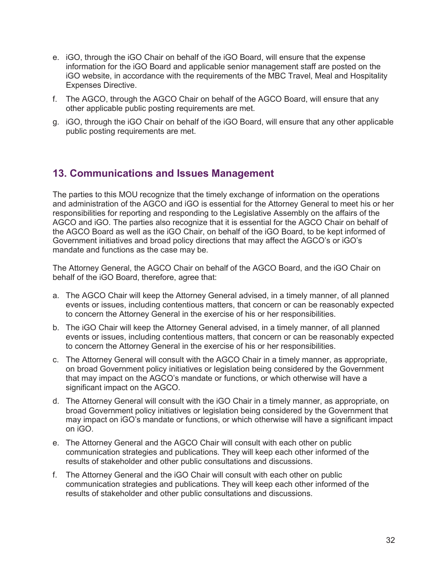- e. iGO, through the iGO Chair on behalf of the iGO Board, will ensure that the expense information for the iGO Board and applicable senior management staff are posted on the iGO website, in accordance with the requirements of the MBC Travel, Meal and Hospitality Expenses Directive.
- f. The AGCO, through the AGCO Chair on behalf of the AGCO Board, will ensure that any other applicable public posting requirements are met.
- g. iGO, through the iGO Chair on behalf of the iGO Board, will ensure that any other applicable public posting requirements are met.

### **13. Communications and Issues Management**

The parties to this MOU recognize that the timely exchange of information on the operations and administration of the AGCO and iGO is essential for the Attorney General to meet his or her responsibilities for reporting and responding to the Legislative Assembly on the affairs of the AGCO and iGO. The parties also recognize that it is essential for the AGCO Chair on behalf of the AGCO Board as well as the iGO Chair, on behalf of the iGO Board, to be kept informed of Government initiatives and broad policy directions that may affect the AGCO's or iGO's mandate and functions as the case may be.

The Attorney General, the AGCO Chair on behalf of the AGCO Board, and the iGO Chair on behalf of the iGO Board, therefore, agree that:

- a. The AGCO Chair will keep the Attorney General advised, in a timely manner, of all planned events or issues, including contentious matters, that concern or can be reasonably expected to concern the Attorney General in the exercise of his or her responsibilities.
- b. The iGO Chair will keep the Attorney General advised, in a timely manner, of all planned events or issues, including contentious matters, that concern or can be reasonably expected to concern the Attorney General in the exercise of his or her responsibilities.
- c. The Attorney General will consult with the AGCO Chair in a timely manner, as appropriate, on broad Government policy initiatives or legislation being considered by the Government that may impact on the AGCO's mandate or functions, or which otherwise will have a significant impact on the AGCO.
- d. The Attorney General will consult with the iGO Chair in a timely manner, as appropriate, on broad Government policy initiatives or legislation being considered by the Government that may impact on iGO's mandate or functions, or which otherwise will have a significant impact on iGO.
- e. The Attorney General and the AGCO Chair will consult with each other on public communication strategies and publications. They will keep each other informed of the results of stakeholder and other public consultations and discussions.
- f. The Attorney General and the iGO Chair will consult with each other on public communication strategies and publications. They will keep each other informed of the results of stakeholder and other public consultations and discussions.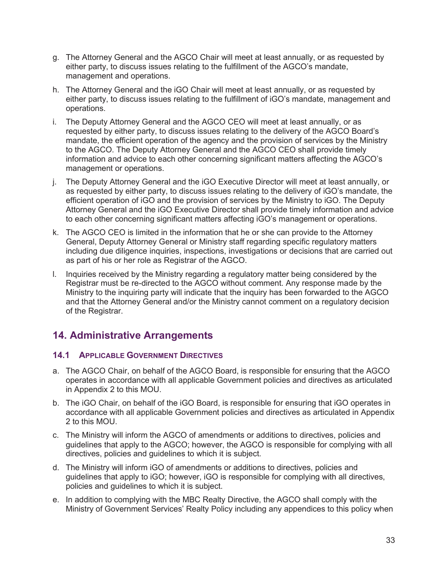- g. The Attorney General and the AGCO Chair will meet at least annually, or as requested by either party, to discuss issues relating to the fulfillment of the AGCO's mandate, management and operations.
- h. The Attorney General and the iGO Chair will meet at least annually, or as requested by either party, to discuss issues relating to the fulfillment of iGO's mandate, management and operations.
- i. The Deputy Attorney General and the AGCO CEO will meet at least annually, or as requested by either party, to discuss issues relating to the delivery of the AGCO Board's mandate, the efficient operation of the agency and the provision of services by the Ministry to the AGCO. The Deputy Attorney General and the AGCO CEO shall provide timely information and advice to each other concerning significant matters affecting the AGCO's management or operations.
- j. The Deputy Attorney General and the iGO Executive Director will meet at least annually, or as requested by either party, to discuss issues relating to the delivery of iGO's mandate, the efficient operation of iGO and the provision of services by the Ministry to iGO. The Deputy Attorney General and the iGO Executive Director shall provide timely information and advice to each other concerning significant matters affecting iGO's management or operations.
- k. The AGCO CEO is limited in the information that he or she can provide to the Attorney General, Deputy Attorney General or Ministry staff regarding specific regulatory matters including due diligence inquiries, inspections, investigations or decisions that are carried out as part of his or her role as Registrar of the AGCO.
- l. Inquiries received by the Ministry regarding a regulatory matter being considered by the Registrar must be re-directed to the AGCO without comment. Any response made by the Ministry to the inquiring party will indicate that the inquiry has been forwarded to the AGCO and that the Attorney General and/or the Ministry cannot comment on a regulatory decision of the Registrar.

# **14. Administrative Arrangements**

### **14.1 APPLICABLE GOVERNMENT DIRECTIVES**

- a. The AGCO Chair, on behalf of the AGCO Board, is responsible for ensuring that the AGCO operates in accordance with all applicable Government policies and directives as articulated in Appendix 2 to this MOU.
- b. The iGO Chair, on behalf of the iGO Board, is responsible for ensuring that iGO operates in accordance with all applicable Government policies and directives as articulated in Appendix 2 to this MOU.
- c. The Ministry will inform the AGCO of amendments or additions to directives, policies and guidelines that apply to the AGCO; however, the AGCO is responsible for complying with all directives, policies and guidelines to which it is subject.
- d. The Ministry will inform iGO of amendments or additions to directives, policies and guidelines that apply to iGO; however, iGO is responsible for complying with all directives, policies and guidelines to which it is subject.
- e. In addition to complying with the MBC Realty Directive, the AGCO shall comply with the Ministry of Government Services' Realty Policy including any appendices to this policy when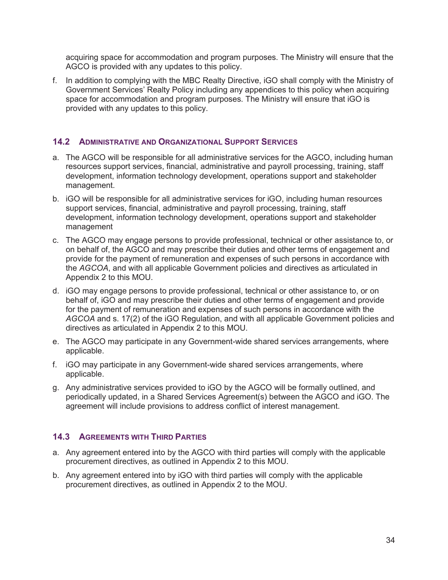acquiring space for accommodation and program purposes. The Ministry will ensure that the AGCO is provided with any updates to this policy.

f. In addition to complying with the MBC Realty Directive, iGO shall comply with the Ministry of Government Services' Realty Policy including any appendices to this policy when acquiring space for accommodation and program purposes. The Ministry will ensure that iGO is provided with any updates to this policy.

#### **14.2 ADMINISTRATIVE AND ORGANIZATIONAL SUPPORT SERVICES**

- a. The AGCO will be responsible for all administrative services for the AGCO, including human resources support services, financial, administrative and payroll processing, training, staff development, information technology development, operations support and stakeholder management.
- b. iGO will be responsible for all administrative services for iGO, including human resources support services, financial, administrative and payroll processing, training, staff development, information technology development, operations support and stakeholder management
- c. The AGCO may engage persons to provide professional, technical or other assistance to, or on behalf of, the AGCO and may prescribe their duties and other terms of engagement and provide for the payment of remuneration and expenses of such persons in accordance with the *AGCOA*, and with all applicable Government policies and directives as articulated in Appendix 2 to this MOU.
- d. iGO may engage persons to provide professional, technical or other assistance to, or on behalf of, iGO and may prescribe their duties and other terms of engagement and provide for the payment of remuneration and expenses of such persons in accordance with the *AGCOA* and s. 17(2) of the iGO Regulation, and with all applicable Government policies and directives as articulated in Appendix 2 to this MOU.
- e. The AGCO may participate in any Government-wide shared services arrangements, where applicable.
- f. iGO may participate in any Government-wide shared services arrangements, where applicable.
- g. Any administrative services provided to iGO by the AGCO will be formally outlined, and periodically updated, in a Shared Services Agreement(s) between the AGCO and iGO. The agreement will include provisions to address conflict of interest management.

#### **14.3 AGREEMENTS WITH THIRD PARTIES**

- a. Any agreement entered into by the AGCO with third parties will comply with the applicable procurement directives, as outlined in Appendix 2 to this MOU.
- b. Any agreement entered into by iGO with third parties will comply with the applicable procurement directives, as outlined in Appendix 2 to the MOU.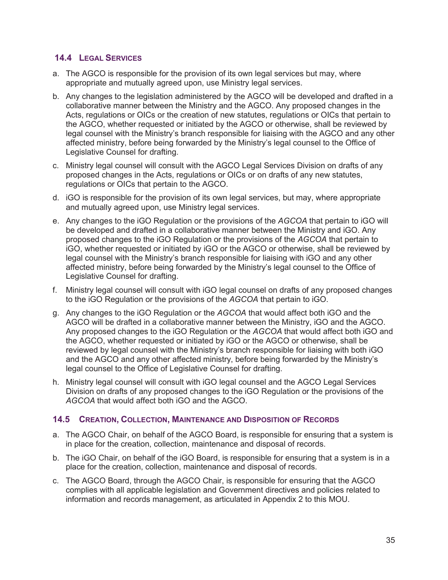#### **14.4 LEGAL SERVICES**

- a. The AGCO is responsible for the provision of its own legal services but may, where appropriate and mutually agreed upon, use Ministry legal services.
- b. Any changes to the legislation administered by the AGCO will be developed and drafted in a collaborative manner between the Ministry and the AGCO. Any proposed changes in the Acts, regulations or OICs or the creation of new statutes, regulations or OICs that pertain to the AGCO, whether requested or initiated by the AGCO or otherwise, shall be reviewed by legal counsel with the Ministry's branch responsible for liaising with the AGCO and any other affected ministry, before being forwarded by the Ministry's legal counsel to the Office of Legislative Counsel for drafting.
- c. Ministry legal counsel will consult with the AGCO Legal Services Division on drafts of any proposed changes in the Acts, regulations or OICs or on drafts of any new statutes, regulations or OICs that pertain to the AGCO.
- d. iGO is responsible for the provision of its own legal services, but may, where appropriate and mutually agreed upon, use Ministry legal services.
- e. Any changes to the iGO Regulation or the provisions of the *AGCOA* that pertain to iGO will be developed and drafted in a collaborative manner between the Ministry and iGO. Any proposed changes to the iGO Regulation or the provisions of the *AGCOA* that pertain to iGO, whether requested or initiated by iGO or the AGCO or otherwise, shall be reviewed by legal counsel with the Ministry's branch responsible for liaising with iGO and any other affected ministry, before being forwarded by the Ministry's legal counsel to the Office of Legislative Counsel for drafting.
- f. Ministry legal counsel will consult with iGO legal counsel on drafts of any proposed changes to the iGO Regulation or the provisions of the *AGCOA* that pertain to iGO.
- g. Any changes to the iGO Regulation or the *AGCOA* that would affect both iGO and the AGCO will be drafted in a collaborative manner between the Ministry, iGO and the AGCO. Any proposed changes to the iGO Regulation or the *AGCOA* that would affect both iGO and the AGCO, whether requested or initiated by iGO or the AGCO or otherwise, shall be reviewed by legal counsel with the Ministry's branch responsible for liaising with both iGO and the AGCO and any other affected ministry, before being forwarded by the Ministry's legal counsel to the Office of Legislative Counsel for drafting.
- h. Ministry legal counsel will consult with iGO legal counsel and the AGCO Legal Services Division on drafts of any proposed changes to the iGO Regulation or the provisions of the *AGCOA* that would affect both iGO and the AGCO.

#### **14.5 CREATION, COLLECTION, MAINTENANCE AND DISPOSITION OF RECORDS**

- a. The AGCO Chair, on behalf of the AGCO Board, is responsible for ensuring that a system is in place for the creation, collection, maintenance and disposal of records.
- b. The iGO Chair, on behalf of the iGO Board, is responsible for ensuring that a system is in a place for the creation, collection, maintenance and disposal of records.
- c. The AGCO Board, through the AGCO Chair, is responsible for ensuring that the AGCO complies with all applicable legislation and Government directives and policies related to information and records management, as articulated in Appendix 2 to this MOU.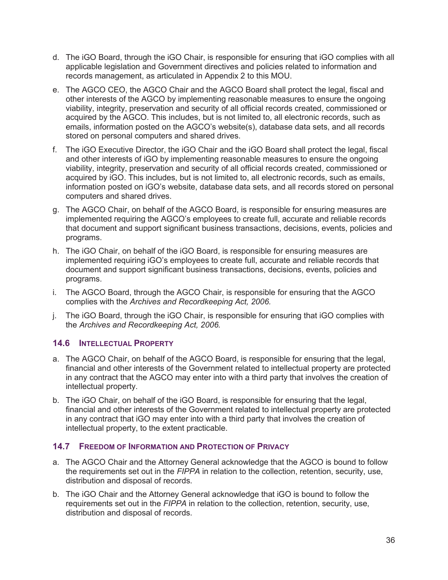- d. The iGO Board, through the iGO Chair, is responsible for ensuring that iGO complies with all applicable legislation and Government directives and policies related to information and records management, as articulated in Appendix 2 to this MOU.
- e. The AGCO CEO, the AGCO Chair and the AGCO Board shall protect the legal, fiscal and other interests of the AGCO by implementing reasonable measures to ensure the ongoing viability, integrity, preservation and security of all official records created, commissioned or acquired by the AGCO. This includes, but is not limited to, all electronic records, such as emails, information posted on the AGCO's website(s), database data sets, and all records stored on personal computers and shared drives.
- f. The iGO Executive Director, the iGO Chair and the iGO Board shall protect the legal, fiscal and other interests of iGO by implementing reasonable measures to ensure the ongoing viability, integrity, preservation and security of all official records created, commissioned or acquired by iGO. This includes, but is not limited to, all electronic records, such as emails, information posted on iGO's website, database data sets, and all records stored on personal computers and shared drives.
- g. The AGCO Chair, on behalf of the AGCO Board, is responsible for ensuring measures are implemented requiring the AGCO's employees to create full, accurate and reliable records that document and support significant business transactions, decisions, events, policies and programs.
- h. The iGO Chair, on behalf of the iGO Board, is responsible for ensuring measures are implemented requiring iGO's employees to create full, accurate and reliable records that document and support significant business transactions, decisions, events, policies and programs.
- i. The AGCO Board, through the AGCO Chair, is responsible for ensuring that the AGCO complies with the *Archives and Recordkeeping Act, 2006.*
- j. The iGO Board, through the iGO Chair, is responsible for ensuring that iGO complies with the *Archives and Recordkeeping Act, 2006.*

#### **14.6 INTELLECTUAL PROPERTY**

- a. The AGCO Chair, on behalf of the AGCO Board, is responsible for ensuring that the legal, financial and other interests of the Government related to intellectual property are protected in any contract that the AGCO may enter into with a third party that involves the creation of intellectual property.
- b. The iGO Chair, on behalf of the iGO Board, is responsible for ensuring that the legal, financial and other interests of the Government related to intellectual property are protected in any contract that iGO may enter into with a third party that involves the creation of intellectual property, to the extent practicable.

#### **14.7 FREEDOM OF INFORMATION AND PROTECTION OF PRIVACY**

- a. The AGCO Chair and the Attorney General acknowledge that the AGCO is bound to follow the requirements set out in the *FIPPA* in relation to the collection, retention, security, use, distribution and disposal of records.
- b. The iGO Chair and the Attorney General acknowledge that iGO is bound to follow the requirements set out in the *FIPPA* in relation to the collection, retention, security, use, distribution and disposal of records.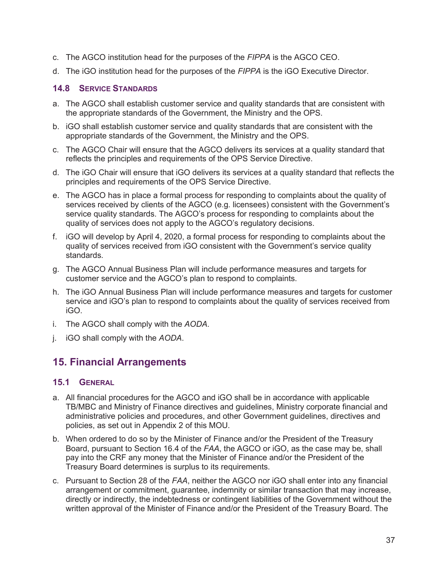- c. The AGCO institution head for the purposes of the *FIPPA* is the AGCO CEO.
- d. The iGO institution head for the purposes of the *FIPPA* is the iGO Executive Director.

#### **14.8 SERVICE STANDARDS**

- a. The AGCO shall establish customer service and quality standards that are consistent with the appropriate standards of the Government, the Ministry and the OPS.
- b. iGO shall establish customer service and quality standards that are consistent with the appropriate standards of the Government, the Ministry and the OPS.
- c. The AGCO Chair will ensure that the AGCO delivers its services at a quality standard that reflects the principles and requirements of the OPS Service Directive.
- d. The iGO Chair will ensure that iGO delivers its services at a quality standard that reflects the principles and requirements of the OPS Service Directive.
- e. The AGCO has in place a formal process for responding to complaints about the quality of services received by clients of the AGCO (e.g. licensees) consistent with the Government's service quality standards. The AGCO's process for responding to complaints about the quality of services does not apply to the AGCO's regulatory decisions.
- f. iGO will develop by April 4, 2020, a formal process for responding to complaints about the quality of services received from iGO consistent with the Government's service quality standards.
- g. The AGCO Annual Business Plan will include performance measures and targets for customer service and the AGCO's plan to respond to complaints.
- h. The iGO Annual Business Plan will include performance measures and targets for customer service and iGO's plan to respond to complaints about the quality of services received from iGO.
- i. The AGCO shall comply with the *AODA*.
- j. iGO shall comply with the *AODA*.

## **15. Financial Arrangements**

#### **15.1 GENERAL**

- a. All financial procedures for the AGCO and iGO shall be in accordance with applicable TB/MBC and Ministry of Finance directives and guidelines, Ministry corporate financial and administrative policies and procedures, and other Government guidelines, directives and policies, as set out in Appendix 2 of this MOU.
- b. When ordered to do so by the Minister of Finance and/or the President of the Treasury Board, pursuant to Section 16.4 of the *FAA*, the AGCO or iGO, as the case may be, shall pay into the CRF any money that the Minister of Finance and/or the President of the Treasury Board determines is surplus to its requirements.
- c. Pursuant to Section 28 of the *FAA*, neither the AGCO nor iGO shall enter into any financial arrangement or commitment, guarantee, indemnity or similar transaction that may increase, directly or indirectly, the indebtedness or contingent liabilities of the Government without the written approval of the Minister of Finance and/or the President of the Treasury Board. The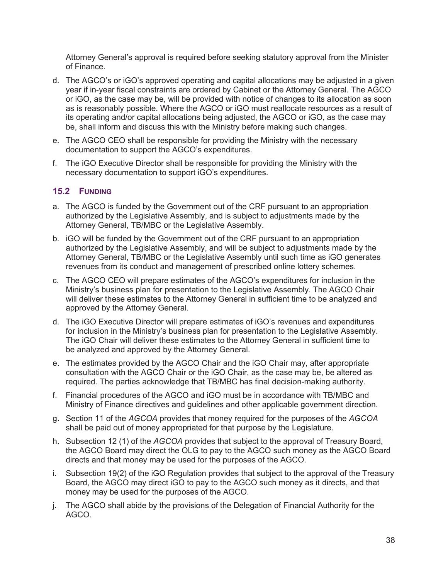Attorney General's approval is required before seeking statutory approval from the Minister of Finance.

- d. The AGCO's or iGO's approved operating and capital allocations may be adjusted in a given year if in-year fiscal constraints are ordered by Cabinet or the Attorney General. The AGCO or iGO, as the case may be, will be provided with notice of changes to its allocation as soon as is reasonably possible. Where the AGCO or iGO must reallocate resources as a result of its operating and/or capital allocations being adjusted, the AGCO or iGO, as the case may be, shall inform and discuss this with the Ministry before making such changes.
- e. The AGCO CEO shall be responsible for providing the Ministry with the necessary documentation to support the AGCO's expenditures.
- f. The iGO Executive Director shall be responsible for providing the Ministry with the necessary documentation to support iGO's expenditures.

#### **15.2 FUNDING**

- a. The AGCO is funded by the Government out of the CRF pursuant to an appropriation authorized by the Legislative Assembly, and is subject to adjustments made by the Attorney General, TB/MBC or the Legislative Assembly.
- b. iGO will be funded by the Government out of the CRF pursuant to an appropriation authorized by the Legislative Assembly, and will be subject to adjustments made by the Attorney General, TB/MBC or the Legislative Assembly until such time as iGO generates revenues from its conduct and management of prescribed online lottery schemes.
- c. The AGCO CEO will prepare estimates of the AGCO's expenditures for inclusion in the Ministry's business plan for presentation to the Legislative Assembly. The AGCO Chair will deliver these estimates to the Attorney General in sufficient time to be analyzed and approved by the Attorney General.
- d. The iGO Executive Director will prepare estimates of iGO's revenues and expenditures for inclusion in the Ministry's business plan for presentation to the Legislative Assembly. The iGO Chair will deliver these estimates to the Attorney General in sufficient time to be analyzed and approved by the Attorney General.
- e. The estimates provided by the AGCO Chair and the iGO Chair may, after appropriate consultation with the AGCO Chair or the iGO Chair, as the case may be, be altered as required. The parties acknowledge that TB/MBC has final decision-making authority.
- f. Financial procedures of the AGCO and iGO must be in accordance with TB/MBC and Ministry of Finance directives and guidelines and other applicable government direction.
- g. Section 11 of the *AGCOA* provides that money required for the purposes of the *AGCOA* shall be paid out of money appropriated for that purpose by the Legislature.
- h. Subsection 12 (1) of the *AGCOA* provides that subject to the approval of Treasury Board, the AGCO Board may direct the OLG to pay to the AGCO such money as the AGCO Board directs and that money may be used for the purposes of the AGCO.
- i. Subsection 19(2) of the iGO Regulation provides that subject to the approval of the Treasury Board, the AGCO may direct iGO to pay to the AGCO such money as it directs, and that money may be used for the purposes of the AGCO.
- j. The AGCO shall abide by the provisions of the Delegation of Financial Authority for the AGCO.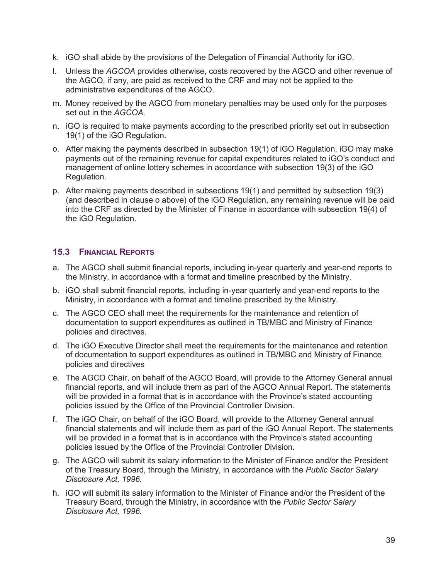- k. iGO shall abide by the provisions of the Delegation of Financial Authority for iGO.
- l. Unless the *AGCOA* provides otherwise, costs recovered by the AGCO and other revenue of the AGCO, if any, are paid as received to the CRF and may not be applied to the administrative expenditures of the AGCO.
- m. Money received by the AGCO from monetary penalties may be used only for the purposes set out in the *AGCOA.*
- n. iGO is required to make payments according to the prescribed priority set out in subsection 19(1) of the iGO Regulation.
- o. After making the payments described in subsection 19(1) of iGO Regulation, iGO may make payments out of the remaining revenue for capital expenditures related to iGO's conduct and management of online lottery schemes in accordance with subsection 19(3) of the iGO Regulation.
- p. After making payments described in subsections 19(1) and permitted by subsection 19(3) (and described in clause o above) of the iGO Regulation, any remaining revenue will be paid into the CRF as directed by the Minister of Finance in accordance with subsection 19(4) of the iGO Regulation.

#### **15.3 FINANCIAL REPORTS**

- a. The AGCO shall submit financial reports, including in-year quarterly and year-end reports to the Ministry, in accordance with a format and timeline prescribed by the Ministry.
- b. iGO shall submit financial reports, including in-year quarterly and year-end reports to the Ministry, in accordance with a format and timeline prescribed by the Ministry.
- c. The AGCO CEO shall meet the requirements for the maintenance and retention of documentation to support expenditures as outlined in TB/MBC and Ministry of Finance policies and directives.
- d. The iGO Executive Director shall meet the requirements for the maintenance and retention of documentation to support expenditures as outlined in TB/MBC and Ministry of Finance policies and directives
- e. The AGCO Chair, on behalf of the AGCO Board, will provide to the Attorney General annual financial reports, and will include them as part of the AGCO Annual Report. The statements will be provided in a format that is in accordance with the Province's stated accounting policies issued by the Office of the Provincial Controller Division.
- f. The iGO Chair, on behalf of the iGO Board, will provide to the Attorney General annual financial statements and will include them as part of the iGO Annual Report. The statements will be provided in a format that is in accordance with the Province's stated accounting policies issued by the Office of the Provincial Controller Division.
- g. The AGCO will submit its salary information to the Minister of Finance and/or the President of the Treasury Board, through the Ministry, in accordance with the *Public Sector Salary Disclosure Act, 1996.*
- h. iGO will submit its salary information to the Minister of Finance and/or the President of the Treasury Board, through the Ministry, in accordance with the *Public Sector Salary Disclosure Act, 1996.*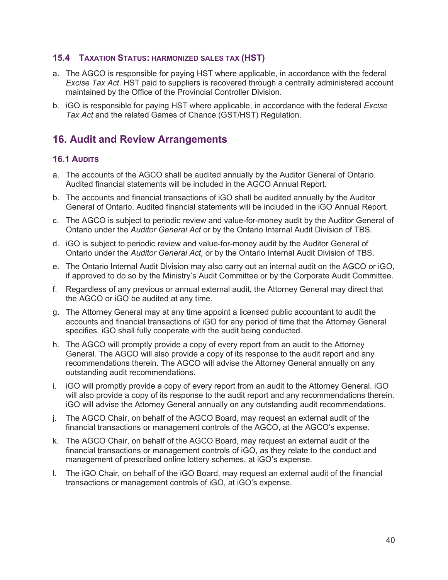#### **15.4 TAXATION STATUS: HARMONIZED SALES TAX (HST)**

- a. The AGCO is responsible for paying HST where applicable, in accordance with the federal *Excise Tax Act*. HST paid to suppliers is recovered through a centrally administered account maintained by the Office of the Provincial Controller Division.
- b. iGO is responsible for paying HST where applicable, in accordance with the federal *Excise Tax Act* and the related Games of Chance (GST/HST) Regulation.

# **16. Audit and Review Arrangements**

#### **16.1 AUDITS**

- a. The accounts of the AGCO shall be audited annually by the Auditor General of Ontario. Audited financial statements will be included in the AGCO Annual Report.
- b. The accounts and financial transactions of iGO shall be audited annually by the Auditor General of Ontario. Audited financial statements will be included in the iGO Annual Report.
- c. The AGCO is subject to periodic review and value-for-money audit by the Auditor General of Ontario under the *Auditor General Act* or by the Ontario Internal Audit Division of TBS.
- d. iGO is subject to periodic review and value-for-money audit by the Auditor General of Ontario under the *Auditor General Act,* or by the Ontario Internal Audit Division of TBS.
- e. The Ontario Internal Audit Division may also carry out an internal audit on the AGCO or iGO, if approved to do so by the Ministry's Audit Committee or by the Corporate Audit Committee.
- f. Regardless of any previous or annual external audit, the Attorney General may direct that the AGCO or iGO be audited at any time.
- g. The Attorney General may at any time appoint a licensed public accountant to audit the accounts and financial transactions of iGO for any period of time that the Attorney General specifies. iGO shall fully cooperate with the audit being conducted.
- h. The AGCO will promptly provide a copy of every report from an audit to the Attorney General. The AGCO will also provide a copy of its response to the audit report and any recommendations therein. The AGCO will advise the Attorney General annually on any outstanding audit recommendations.
- i. iGO will promptly provide a copy of every report from an audit to the Attorney General. iGO will also provide a copy of its response to the audit report and any recommendations therein. iGO will advise the Attorney General annually on any outstanding audit recommendations.
- j. The AGCO Chair, on behalf of the AGCO Board, may request an external audit of the financial transactions or management controls of the AGCO, at the AGCO's expense.
- k. The AGCO Chair, on behalf of the AGCO Board, may request an external audit of the financial transactions or management controls of iGO, as they relate to the conduct and management of prescribed online lottery schemes, at iGO's expense.
- l. The iGO Chair, on behalf of the iGO Board, may request an external audit of the financial transactions or management controls of iGO, at iGO's expense.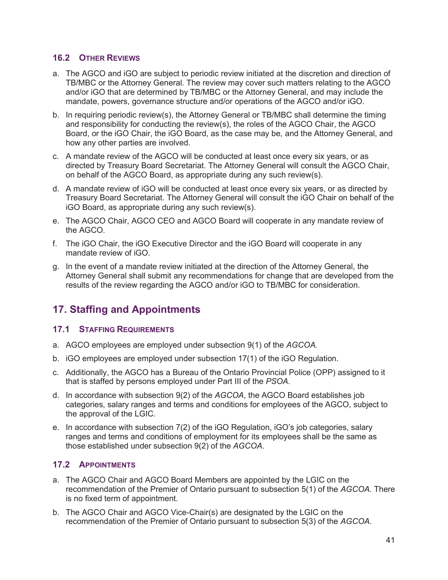#### **16.2 OTHER REVIEWS**

- a. The AGCO and iGO are subject to periodic review initiated at the discretion and direction of TB/MBC or the Attorney General. The review may cover such matters relating to the AGCO and/or iGO that are determined by TB/MBC or the Attorney General, and may include the mandate, powers, governance structure and/or operations of the AGCO and/or iGO.
- b. In requiring periodic review(s), the Attorney General or TB/MBC shall determine the timing and responsibility for conducting the review(s), the roles of the AGCO Chair, the AGCO Board, or the iGO Chair, the iGO Board, as the case may be, and the Attorney General, and how any other parties are involved.
- c. A mandate review of the AGCO will be conducted at least once every six years, or as directed by Treasury Board Secretariat. The Attorney General will consult the AGCO Chair, on behalf of the AGCO Board, as appropriate during any such review(s).
- d. A mandate review of iGO will be conducted at least once every six years, or as directed by Treasury Board Secretariat. The Attorney General will consult the iGO Chair on behalf of the iGO Board, as appropriate during any such review(s).
- e. The AGCO Chair, AGCO CEO and AGCO Board will cooperate in any mandate review of the AGCO.
- f. The iGO Chair, the iGO Executive Director and the iGO Board will cooperate in any mandate review of iGO.
- g. In the event of a mandate review initiated at the direction of the Attorney General, the Attorney General shall submit any recommendations for change that are developed from the results of the review regarding the AGCO and/or iGO to TB/MBC for consideration.

# **17. Staffing and Appointments**

#### **17.1 STAFFING REQUIREMENTS**

- a. AGCO employees are employed under subsection 9(1) of the *AGCOA.*
- b. iGO employees are employed under subsection 17(1) of the iGO Regulation.
- c. Additionally, the AGCO has a Bureau of the Ontario Provincial Police (OPP) assigned to it that is staffed by persons employed under Part III of the *PSOA.*
- d. In accordance with subsection 9(2) of the *AGCOA*, the AGCO Board establishes job categories, salary ranges and terms and conditions for employees of the AGCO, subject to the approval of the LGIC.
- e. In accordance with subsection 7(2) of the iGO Regulation, iGO's job categories, salary ranges and terms and conditions of employment for its employees shall be the same as those established under subsection 9(2) of the *AGCOA*.

### **17.2 APPOINTMENTS**

- a. The AGCO Chair and AGCO Board Members are appointed by the LGIC on the recommendation of the Premier of Ontario pursuant to subsection 5(1) of the *AGCOA.* There is no fixed term of appointment.
- b. The AGCO Chair and AGCO Vice-Chair(s) are designated by the LGIC on the recommendation of the Premier of Ontario pursuant to subsection 5(3) of the *AGCOA*.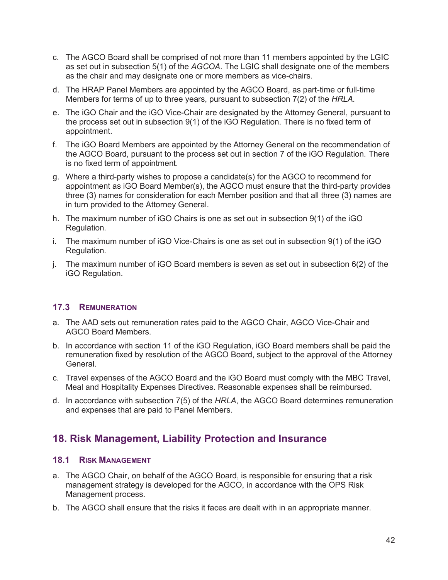- c. The AGCO Board shall be comprised of not more than 11 members appointed by the LGIC as set out in subsection 5(1) of the *AGCOA*. The LGIC shall designate one of the members as the chair and may designate one or more members as vice-chairs.
- d. The HRAP Panel Members are appointed by the AGCO Board, as part-time or full-time Members for terms of up to three years, pursuant to subsection 7(2) of the *HRLA.*
- e. The iGO Chair and the iGO Vice-Chair are designated by the Attorney General, pursuant to the process set out in subsection 9(1) of the iGO Regulation. There is no fixed term of appointment.
- f. The iGO Board Members are appointed by the Attorney General on the recommendation of the AGCO Board, pursuant to the process set out in section 7 of the iGO Regulation*.* There is no fixed term of appointment.
- g. Where a third-party wishes to propose a candidate(s) for the AGCO to recommend for appointment as iGO Board Member(s), the AGCO must ensure that the third-party provides three (3) names for consideration for each Member position and that all three (3) names are in turn provided to the Attorney General.
- h. The maximum number of iGO Chairs is one as set out in subsection 9(1) of the iGO Regulation*.*
- i. The maximum number of iGO Vice-Chairs is one as set out in subsection 9(1) of the iGO Regulation*.*
- j. The maximum number of iGO Board members is seven as set out in subsection 6(2) of the iGO Regulation.

#### **17.3 REMUNERATION**

- a. The AAD sets out remuneration rates paid to the AGCO Chair, AGCO Vice-Chair and AGCO Board Members.
- b. In accordance with section 11 of the iGO Regulation, iGO Board members shall be paid the remuneration fixed by resolution of the AGCO Board, subject to the approval of the Attorney General.
- c. Travel expenses of the AGCO Board and the iGO Board must comply with the MBC Travel, Meal and Hospitality Expenses Directives. Reasonable expenses shall be reimbursed.
- d. In accordance with subsection 7(5) of the *HRLA*, the AGCO Board determines remuneration and expenses that are paid to Panel Members.

# **18. Risk Management, Liability Protection and Insurance**

#### **18.1 RISK MANAGEMENT**

- a. The AGCO Chair, on behalf of the AGCO Board, is responsible for ensuring that a risk management strategy is developed for the AGCO, in accordance with the OPS Risk Management process.
- b. The AGCO shall ensure that the risks it faces are dealt with in an appropriate manner.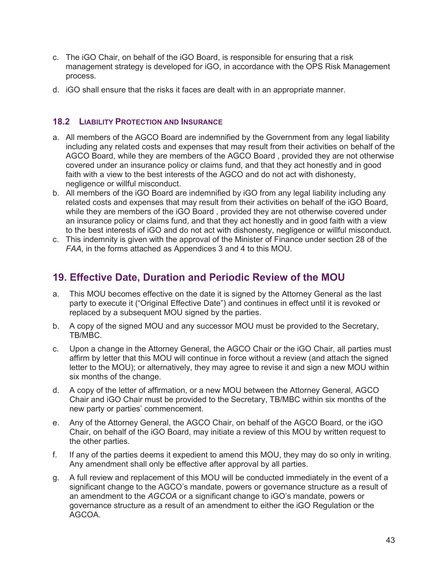- c. The iGO Chair, on behalf of the iGO Board, is responsible for ensuring that a risk management strategy is developed for iGO, in accordance with the OPS Risk Management process.
- d. iGO shall ensure that the risks it faces are dealt with in an appropriate manner.

#### **18.2 LIABILITY PROTECTION AND INSURANCE**

- a. All members of the AGCO Board are indemnified by the Government from any legal liability including any related costs and expenses that may result from their activities on behalf of the AGCO Board, while they are members of the AGCO Board , provided they are not otherwise covered under an insurance policy or claims fund, and that they act honestly and in good faith with a view to the best interests of the AGCO and do not act with dishonesty, negligence or willful misconduct.
- b. All members of the iGO Board are indemnified by iGO from any legal liability including any related costs and expenses that may result from their activities on behalf of the iGO Board, while they are members of the iGO Board , provided they are not otherwise covered under an insurance policy or claims fund, and that they act honestly and in good faith with a view to the best interests of iGO and do not act with dishonesty, negligence or willful misconduct.
- c. This indemnity is given with the approval of the Minister of Finance under section 28 of the *FAA*, in the forms attached as Appendices 3 and 4 to this MOU.

# **19. Effective Date, Duration and Periodic Review of the MOU**

- a. This MOU becomes effective on the date it is signed by the Attorney General as the last party to execute it ("Original Effective Date") and continues in effect until it is revoked or replaced by a subsequent MOU signed by the parties.
- b. A copy of the signed MOU and any successor MOU must be provided to the Secretary, TB/MBC.
- c. Upon a change in the Attorney General, the AGCO Chair or the iGO Chair, all parties must affirm by letter that this MOU will continue in force without a review (and attach the signed letter to the MOU); or alternatively, they may agree to revise it and sign a new MOU within six months of the change.
- d. A copy of the letter of affirmation, or a new MOU between the Attorney General, AGCO Chair and iGO Chair must be provided to the Secretary, TB/MBC within six months of the new party or parties' commencement.
- e. Any of the Attorney General, the AGCO Chair, on behalf of the AGCO Board, or the iGO Chair, on behalf of the iGO Board, may initiate a review of this MOU by written request to the other parties.
- f. If any of the parties deems it expedient to amend this MOU, they may do so only in writing. Any amendment shall only be effective after approval by all parties.
- g. A full review and replacement of this MOU will be conducted immediately in the event of a significant change to the AGCO's mandate, powers or governance structure as a result of an amendment to the *AGCOA* or a significant change to iGO's mandate, powers or governance structure as a result of an amendment to either the iGO Regulation or the AGCOA.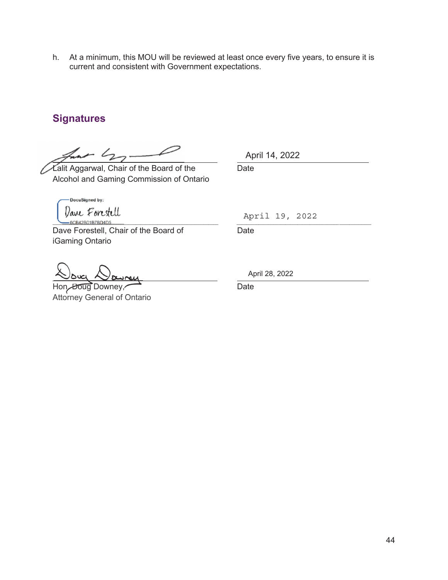h. At a minimum, this MOU will be reviewed at least once every five years, to ensure it is current and consistent with Government expectations.

# **Signatures**

 $- 42$ 

Lalit Aggarwal, Chair of the Board of the Date Alcohol and Gaming Commission of Ontario

DocuSigned by: Dave Forestell \_\_\_\_\_\_\_\_\_\_\_\_\_\_\_\_\_\_\_\_\_\_\_\_\_\_\_\_\_\_\_\_\_\_\_\_\_\_\_\_\_\_\_\_\_\_\_\_\_\_\_\_\_\_\_\_\_\_\_\_\_\_\_\_\_\_\_\_ \_\_\_\_\_\_\_\_\_\_\_\_\_\_\_\_\_\_\_\_\_\_\_\_\_\_\_\_\_\_\_\_\_\_\_\_\_\_\_\_\_\_\_\_\_\_\_\_\_\_\_\_\_\_\_

Dave Forestell, Chair of the Board of Date iGaming Ontario

Hon. Doug Downey, **Communist Communist Communist Communist Communist Communist Communist Communist Communist Communist Communist Communist Communist Communist Communist Communist Communist Communist Communist Communist Com** Attorney General of Ontario

April 14, 2022

April 19, 2022

April 28, 2022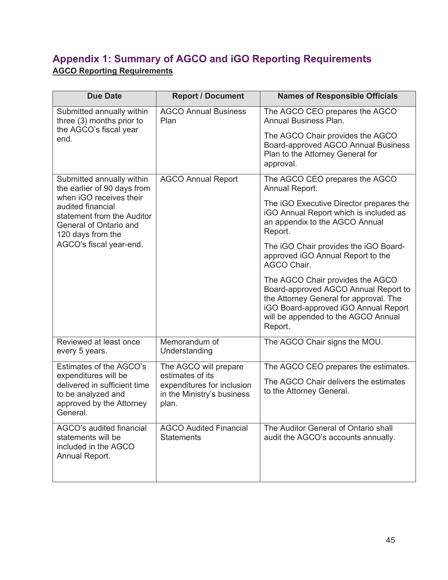# **Appendix 1: Summary of AGCO and iGO Reporting Requirements AGCO Reporting Requirements**

| <b>Due Date</b>                                                                                                           | <b>Report / Document</b>                                                              | <b>Names of Responsible Officials</b>                                                                                                                                                                        |
|---------------------------------------------------------------------------------------------------------------------------|---------------------------------------------------------------------------------------|--------------------------------------------------------------------------------------------------------------------------------------------------------------------------------------------------------------|
| Submitted annually within<br>three (3) months prior to                                                                    | <b>AGCO Annual Business</b><br>Plan                                                   | The AGCO CEO prepares the AGCO<br>Annual Business Plan.                                                                                                                                                      |
| the AGCO's fiscal year<br>end.                                                                                            |                                                                                       | The AGCO Chair provides the AGCO<br>Board-approved AGCO Annual Business<br>Plan to the Attorney General for<br>approval.                                                                                     |
| Submitted annually within<br>the earlier of 90 days from                                                                  | <b>AGCO Annual Report</b>                                                             | The AGCO CEO prepares the AGCO<br>Annual Report.                                                                                                                                                             |
| when iGO receives their<br>audited financial<br>statement from the Auditor<br>General of Ontario and<br>120 days from the |                                                                                       | The iGO Executive Director prepares the<br>iGO Annual Report which is included as<br>an appendix to the AGCO Annual<br>Report.                                                                               |
| AGCO's fiscal year-end.                                                                                                   |                                                                                       | The iGO Chair provides the iGO Board-<br>approved iGO Annual Report to the<br><b>AGCO Chair.</b>                                                                                                             |
|                                                                                                                           |                                                                                       | The AGCO Chair provides the AGCO<br>Board-approved AGCO Annual Report to<br>the Attorney General for approval. The<br>iGO Board-approved iGO Annual Report<br>will be appended to the AGCO Annual<br>Report. |
| Reviewed at least once<br>every 5 years.                                                                                  | Memorandum of<br>Understanding                                                        | The AGCO Chair signs the MOU.                                                                                                                                                                                |
| Estimates of the AGCO's                                                                                                   | The AGCO will prepare                                                                 | The AGCO CEO prepares the estimates.                                                                                                                                                                         |
| expenditures will be<br>delivered in sufficient time<br>to be analyzed and<br>approved by the Attorney<br>General.        | estimates of its<br>expenditures for inclusion<br>in the Ministry's business<br>plan. | The AGCO Chair delivers the estimates<br>to the Attorney General.                                                                                                                                            |
| AGCO's audited financial<br>statements will be<br>included in the AGCO<br>Annual Report.                                  | <b>AGCO Audited Financial</b><br><b>Statements</b>                                    | The Auditor General of Ontario shall<br>audit the AGCO's accounts annually.                                                                                                                                  |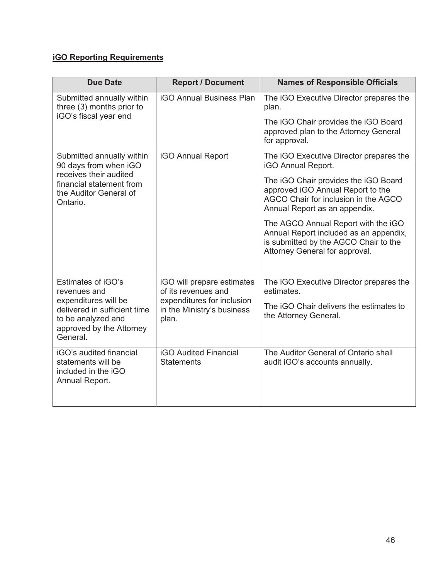### **iGO Reporting Requirements**

| <b>Due Date</b>                                                                                                    | <b>Report / Document</b>                                          | <b>Names of Responsible Officials</b>                                                                                                                    |
|--------------------------------------------------------------------------------------------------------------------|-------------------------------------------------------------------|----------------------------------------------------------------------------------------------------------------------------------------------------------|
| Submitted annually within<br>three (3) months prior to                                                             | <b>iGO Annual Business Plan</b>                                   | The iGO Executive Director prepares the<br>plan.                                                                                                         |
| iGO's fiscal year end                                                                                              |                                                                   | The iGO Chair provides the iGO Board<br>approved plan to the Attorney General<br>for approval.                                                           |
| Submitted annually within<br>90 days from when iGO                                                                 | <b>iGO Annual Report</b>                                          | The iGO Executive Director prepares the<br><b>iGO Annual Report.</b>                                                                                     |
| receives their audited<br>financial statement from<br>the Auditor General of<br>Ontario.                           |                                                                   | The iGO Chair provides the iGO Board<br>approved iGO Annual Report to the<br>AGCO Chair for inclusion in the AGCO<br>Annual Report as an appendix.       |
|                                                                                                                    |                                                                   | The AGCO Annual Report with the iGO<br>Annual Report included as an appendix,<br>is submitted by the AGCO Chair to the<br>Attorney General for approval. |
| Estimates of iGO's<br>revenues and                                                                                 | iGO will prepare estimates<br>of its revenues and                 | The iGO Executive Director prepares the<br>estimates.                                                                                                    |
| expenditures will be<br>delivered in sufficient time<br>to be analyzed and<br>approved by the Attorney<br>General. | expenditures for inclusion<br>in the Ministry's business<br>plan. | The iGO Chair delivers the estimates to<br>the Attorney General.                                                                                         |
| iGO's audited financial<br>statements will be<br>included in the iGO<br>Annual Report.                             | <b>iGO Audited Financial</b><br><b>Statements</b>                 | The Auditor General of Ontario shall<br>audit iGO's accounts annually.                                                                                   |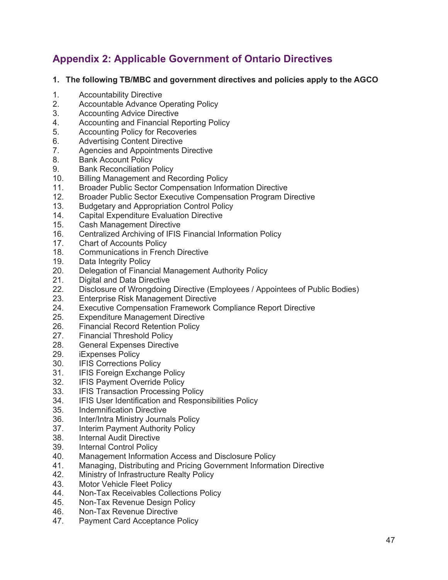# **Appendix 2: Applicable Government of Ontario Directives**

#### **1. The following TB/MBC and government directives and policies apply to the AGCO**

- 1. Accountability Directive
- 2. Accountable Advance Operating Policy
- 3. Accounting Advice Directive
- 4. Accounting and Financial Reporting Policy
- 5. Accounting Policy for Recoveries
- 6. Advertising Content Directive<br>7. Agencies and Appointments D
- Agencies and Appointments Directive
- 8. Bank Account Policy
- 9. Bank Reconciliation Policy
- 10. Billing Management and Recording Policy
- 11. Broader Public Sector Compensation Information Directive
- 12. Broader Public Sector Executive Compensation Program Directive
- 13. Budgetary and Appropriation Control Policy
- 14. Capital Expenditure Evaluation Directive
- 15. Cash Management Directive
- 16. Centralized Archiving of IFIS Financial Information Policy
- 17. Chart of Accounts Policy
- 18. Communications in French Directive
- 19. Data Integrity Policy
- 20. Delegation of Financial Management Authority Policy
- 21. Digital and Data Directive
- 22. Disclosure of Wrongdoing Directive (Employees / Appointees of Public Bodies)
- 23. Enterprise Risk Management Directive
- 24. Executive Compensation Framework Compliance Report Directive
- 25. Expenditure Management Directive
- 26. Financial Record Retention Policy
- 27. Financial Threshold Policy
- 28. General Expenses Directive
- 29. iExpenses Policy
- 30. IFIS Corrections Policy
- 31. IFIS Foreign Exchange Policy
- 32. IFIS Payment Override Policy
- 33. IFIS Transaction Processing Policy
- 34. IFIS User Identification and Responsibilities Policy
- 35. Indemnification Directive
- 36. Inter/Intra Ministry Journals Policy
- 37. Interim Payment Authority Policy
- 38. Internal Audit Directive
- 39. Internal Control Policy
- 40. Management Information Access and Disclosure Policy
- 41. Managing, Distributing and Pricing Government Information Directive
- 42. Ministry of Infrastructure Realty Policy
- 43. Motor Vehicle Fleet Policy
- 44. Non-Tax Receivables Collections Policy
- 45. Non-Tax Revenue Design Policy
- 46. Non-Tax Revenue Directive
- 47. Payment Card Acceptance Policy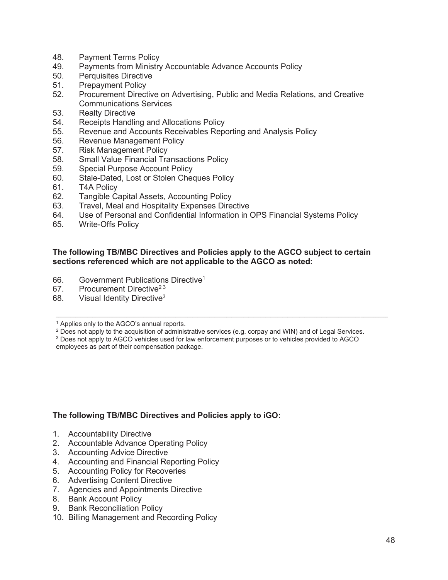- 48. Payment Terms Policy
- 49. Payments from Ministry Accountable Advance Accounts Policy
- 50. Perquisites Directive
- 51. Prepayment Policy
- 52. Procurement Directive on Advertising, Public and Media Relations, and Creative Communications Services
- 53. Realty Directive
- 54. Receipts Handling and Allocations Policy
- 55. Revenue and Accounts Receivables Reporting and Analysis Policy
- 56. Revenue Management Policy
- 57. Risk Management Policy<br>58. Small Value Financial Tra
- Small Value Financial Transactions Policy
- 59. Special Purpose Account Policy
- 60. Stale-Dated, Lost or Stolen Cheques Policy
- 61. T4A Policy
- 62. Tangible Capital Assets, Accounting Policy
- 63. Travel, Meal and Hospitality Expenses Directive
- 64. Use of Personal and Confidential Information in OPS Financial Systems Policy
- 65. Write-Offs Policy

#### **The following TB/MBC Directives and Policies apply to the AGCO subject to certain sections referenced which are not applicable to the AGCO as noted:**

- 66. Government Publications Directive1
- 67. Procurement Directive<sup>23</sup>
- 68. Visual Identity Directive<sup>3</sup>

<sup>1</sup> Applies only to the AGCO's annual reports.<br><sup>2</sup> Does not apply to the acquisition of administrative services (e.g. corpay and WIN) and of Legal Services.

 $\mathcal{L} = \{ \mathcal{L} = \{ \mathcal{L} = \{ \mathcal{L} = \{ \mathcal{L} = \{ \mathcal{L} = \{ \mathcal{L} = \{ \mathcal{L} = \{ \mathcal{L} = \{ \mathcal{L} = \{ \mathcal{L} = \{ \mathcal{L} = \{ \mathcal{L} = \{ \mathcal{L} = \{ \mathcal{L} = \{ \mathcal{L} = \{ \mathcal{L} = \{ \mathcal{L} = \{ \mathcal{L} = \{ \mathcal{L} = \{ \mathcal{L} = \{ \mathcal{L} = \{ \mathcal{L} = \{ \mathcal{L} = \{ \mathcal{$ 

<sup>3</sup> Does not apply to AGCO vehicles used for law enforcement purposes or to vehicles provided to AGCO employees as part of their compensation package.

#### **The following TB/MBC Directives and Policies apply to iGO:**

- 1. Accountability Directive
- 2. Accountable Advance Operating Policy
- 3. Accounting Advice Directive
- 4. Accounting and Financial Reporting Policy
- 5. Accounting Policy for Recoveries
- 6. Advertising Content Directive
- 7. Agencies and Appointments Directive
- 8. Bank Account Policy
- 9. Bank Reconciliation Policy
- 10. Billing Management and Recording Policy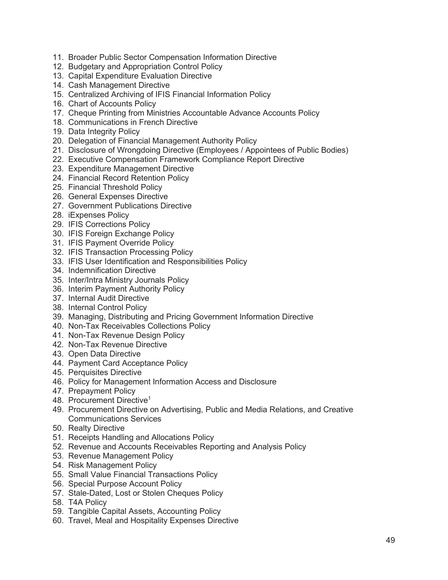- 11. Broader Public Sector Compensation Information Directive
- 12. Budgetary and Appropriation Control Policy
- 13. Capital Expenditure Evaluation Directive
- 14. Cash Management Directive
- 15. Centralized Archiving of IFIS Financial Information Policy
- 16. Chart of Accounts Policy
- 17. Cheque Printing from Ministries Accountable Advance Accounts Policy
- 18. Communications in French Directive
- 19. Data Integrity Policy
- 20. Delegation of Financial Management Authority Policy
- 21. Disclosure of Wrongdoing Directive (Employees / Appointees of Public Bodies)
- 22. Executive Compensation Framework Compliance Report Directive
- 23. Expenditure Management Directive
- 24. Financial Record Retention Policy
- 25. Financial Threshold Policy
- 26. General Expenses Directive
- 27. Government Publications Directive
- 28. iExpenses Policy
- 29. IFIS Corrections Policy
- 30. IFIS Foreign Exchange Policy
- 31. IFIS Payment Override Policy
- 32. IFIS Transaction Processing Policy
- 33. IFIS User Identification and Responsibilities Policy
- 34. Indemnification Directive
- 35. Inter/Intra Ministry Journals Policy
- 36. Interim Payment Authority Policy
- 37. Internal Audit Directive
- 38. Internal Control Policy
- 39. Managing, Distributing and Pricing Government Information Directive
- 40. Non-Tax Receivables Collections Policy
- 41. Non-Tax Revenue Design Policy
- 42. Non-Tax Revenue Directive
- 43. Open Data Directive
- 44. Payment Card Acceptance Policy
- 45. Perquisites Directive
- 46. Policy for Management Information Access and Disclosure
- 47. Prepayment Policy
- 48. Procurement Directive<sup>1</sup>
- 49. Procurement Directive on Advertising, Public and Media Relations, and Creative Communications Services
- 50. Realty Directive
- 51. Receipts Handling and Allocations Policy
- 52. Revenue and Accounts Receivables Reporting and Analysis Policy
- 53. Revenue Management Policy
- 54. Risk Management Policy
- 55. Small Value Financial Transactions Policy
- 56. Special Purpose Account Policy
- 57. Stale-Dated, Lost or Stolen Cheques Policy
- 58. T4A Policy
- 59. Tangible Capital Assets, Accounting Policy
- 60. Travel, Meal and Hospitality Expenses Directive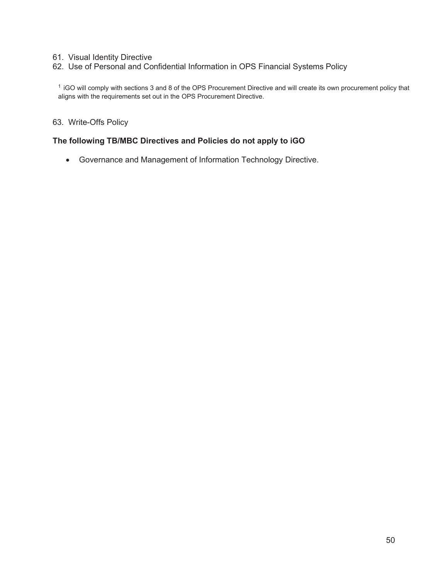#### 61. Visual Identity Directive

62. Use of Personal and Confidential Information in OPS Financial Systems Policy

1 iGO will comply with sections 3 and 8 of the OPS Procurement Directive and will create its own procurement policy that aligns with the requirements set out in the OPS Procurement Directive.

63. Write-Offs Policy

#### **The following TB/MBC Directives and Policies do not apply to iGO**

**•** Governance and Management of Information Technology Directive.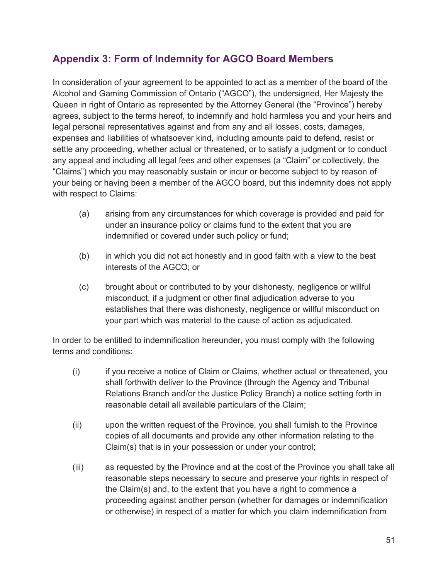# **Appendix 3: Form of Indemnity for AGCO Board Members**

In consideration of your agreement to be appointed to act as a member of the board of the Alcohol and Gaming Commission of Ontario ("AGCO"), the undersigned, Her Majesty the Queen in right of Ontario as represented by the Attorney General (the "Province") hereby agrees, subject to the terms hereof, to indemnify and hold harmless you and your heirs and legal personal representatives against and from any and all losses, costs, damages, expenses and liabilities of whatsoever kind, including amounts paid to defend, resist or settle any proceeding, whether actual or threatened, or to satisfy a judgment or to conduct any appeal and including all legal fees and other expenses (a "Claim" or collectively, the "Claims") which you may reasonably sustain or incur or become subject to by reason of your being or having been a member of the AGCO board, but this indemnity does not apply with respect to Claims:

- (a) arising from any circumstances for which coverage is provided and paid for under an insurance policy or claims fund to the extent that you are indemnified or covered under such policy or fund;
- (b) in which you did not act honestly and in good faith with a view to the best interests of the AGCO; or
- (c) brought about or contributed to by your dishonesty, negligence or willful misconduct, if a judgment or other final adjudication adverse to you establishes that there was dishonesty, negligence or willful misconduct on your part which was material to the cause of action as adjudicated.

In order to be entitled to indemnification hereunder, you must comply with the following terms and conditions:

- (i) if you receive a notice of Claim or Claims, whether actual or threatened, you shall forthwith deliver to the Province (through the Agency and Tribunal Relations Branch and/or the Justice Policy Branch) a notice setting forth in reasonable detail all available particulars of the Claim;
- (ii) upon the written request of the Province, you shall furnish to the Province copies of all documents and provide any other information relating to the Claim(s) that is in your possession or under your control;
- (iii) as requested by the Province and at the cost of the Province you shall take all reasonable steps necessary to secure and preserve your rights in respect of the Claim(s) and, to the extent that you have a right to commence a proceeding against another person (whether for damages or indemnification or otherwise) in respect of a matter for which you claim indemnification from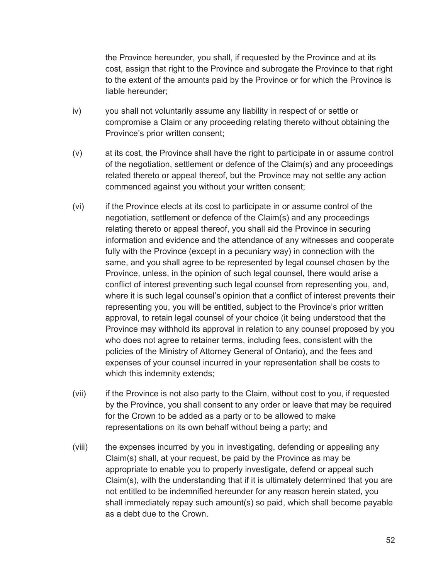the Province hereunder, you shall, if requested by the Province and at its cost, assign that right to the Province and subrogate the Province to that right to the extent of the amounts paid by the Province or for which the Province is liable hereunder;

- iv) you shall not voluntarily assume any liability in respect of or settle or compromise a Claim or any proceeding relating thereto without obtaining the Province's prior written consent;
- (v) at its cost, the Province shall have the right to participate in or assume control of the negotiation, settlement or defence of the Claim(s) and any proceedings related thereto or appeal thereof, but the Province may not settle any action commenced against you without your written consent;
- (vi) if the Province elects at its cost to participate in or assume control of the negotiation, settlement or defence of the Claim(s) and any proceedings relating thereto or appeal thereof, you shall aid the Province in securing information and evidence and the attendance of any witnesses and cooperate fully with the Province (except in a pecuniary way) in connection with the same, and you shall agree to be represented by legal counsel chosen by the Province, unless, in the opinion of such legal counsel, there would arise a conflict of interest preventing such legal counsel from representing you, and, where it is such legal counsel's opinion that a conflict of interest prevents their representing you, you will be entitled, subject to the Province's prior written approval, to retain legal counsel of your choice (it being understood that the Province may withhold its approval in relation to any counsel proposed by you who does not agree to retainer terms, including fees, consistent with the policies of the Ministry of Attorney General of Ontario), and the fees and expenses of your counsel incurred in your representation shall be costs to which this indemnity extends;
- (vii) if the Province is not also party to the Claim, without cost to you, if requested by the Province, you shall consent to any order or leave that may be required for the Crown to be added as a party or to be allowed to make representations on its own behalf without being a party; and
- (viii) the expenses incurred by you in investigating, defending or appealing any Claim(s) shall, at your request, be paid by the Province as may be appropriate to enable you to properly investigate, defend or appeal such Claim(s), with the understanding that if it is ultimately determined that you are not entitled to be indemnified hereunder for any reason herein stated, you shall immediately repay such amount(s) so paid, which shall become payable as a debt due to the Crown.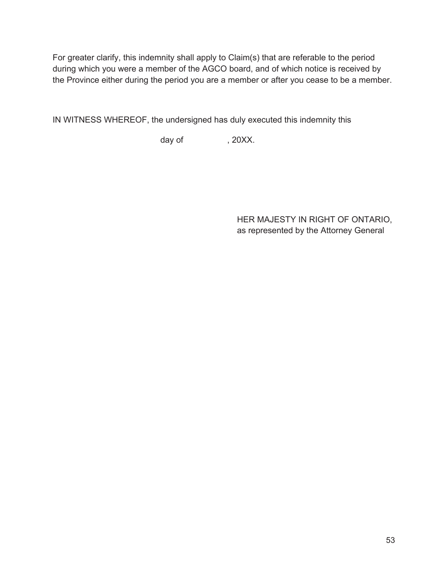For greater clarify, this indemnity shall apply to Claim(s) that are referable to the period during which you were a member of the AGCO board, and of which notice is received by the Province either during the period you are a member or after you cease to be a member.

IN WITNESS WHEREOF, the undersigned has duly executed this indemnity this

day of  $, 20XX$ .

HER MAJESTY IN RIGHT OF ONTARIO, as represented by the Attorney General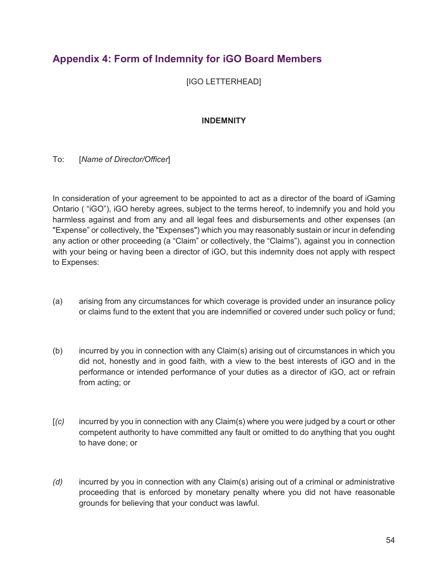# **Appendix 4: Form of Indemnity for iGO Board Members**

[IGO LETTERHEAD]

### **INDEMNITY**

#### To: [*Name of Director/Officer*]

In consideration of your agreement to be appointed to act as a director of the board of iGaming Ontario ( "iGO"), iGO hereby agrees, subject to the terms hereof, to indemnify you and hold you harmless against and from any and all legal fees and disbursements and other expenses (an "Expense" or collectively, the "Expenses") which you may reasonably sustain or incur in defending any action or other proceeding (a "Claim" or collectively, the "Claims"), against you in connection with your being or having been a director of iGO, but this indemnity does not apply with respect to Expenses:

- (a) arising from any circumstances for which coverage is provided under an insurance policy or claims fund to the extent that you are indemnified or covered under such policy or fund;
- (b) incurred by you in connection with any Claim(s) arising out of circumstances in which you did not, honestly and in good faith, with a view to the best interests of iGO and in the performance or intended performance of your duties as a director of iGO, act or refrain from acting; or
- [*(c)* incurred by you in connection with any Claim(s) where you were judged by a court or other competent authority to have committed any fault or omitted to do anything that you ought to have done; or
- *(d)* incurred by you in connection with any Claim(s) arising out of a criminal or administrative proceeding that is enforced by monetary penalty where you did not have reasonable grounds for believing that your conduct was lawful.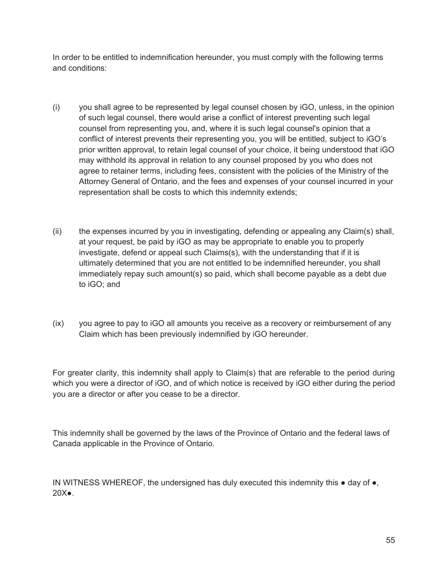In order to be entitled to indemnification hereunder, you must comply with the following terms and conditions:

- (i) you shall agree to be represented by legal counsel chosen by iGO, unless, in the opinion of such legal counsel, there would arise a conflict of interest preventing such legal counsel from representing you, and, where it is such legal counsel's opinion that a conflict of interest prevents their representing you, you will be entitled, subject to iGO's prior written approval, to retain legal counsel of your choice, it being understood that iGO may withhold its approval in relation to any counsel proposed by you who does not agree to retainer terms, including fees, consistent with the policies of the Ministry of the Attorney General of Ontario, and the fees and expenses of your counsel incurred in your representation shall be costs to which this indemnity extends;
- (ii) the expenses incurred by you in investigating, defending or appealing any Claim(s) shall, at your request, be paid by iGO as may be appropriate to enable you to properly investigate, defend or appeal such Claims(s), with the understanding that if it is ultimately determined that you are not entitled to be indemnified hereunder, you shall immediately repay such amount(s) so paid, which shall become payable as a debt due to iGO; and
- (ix) you agree to pay to iGO all amounts you receive as a recovery or reimbursement of any Claim which has been previously indemnified by iGO hereunder.

For greater clarity, this indemnity shall apply to Claim(s) that are referable to the period during which you were a director of iGO, and of which notice is received by iGO either during the period you are a director or after you cease to be a director.

This indemnity shall be governed by the laws of the Province of Ontario and the federal laws of Canada applicable in the Province of Ontario.

IN WITNESS WHEREOF, the undersigned has duly executed this indemnity this  $\bullet$  day of  $\bullet$ , 20X●.